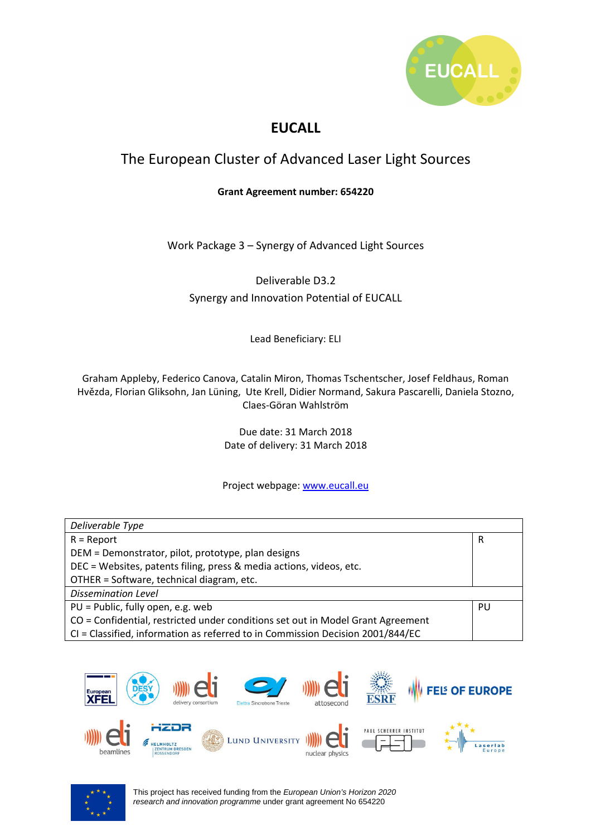

## **EUCALL**

## The European Cluster of Advanced Laser Light Sources

#### **Grant Agreement number: 654220**

Work Package 3 – Synergy of Advanced Light Sources

Deliverable D3.2 Synergy and Innovation Potential of EUCALL

Lead Beneficiary: ELI

Graham Appleby, Federico Canova, Catalin Miron, Thomas Tschentscher, Josef Feldhaus, Roman Hvězda, Florian Gliksohn, Jan Lüning, Ute Krell, Didier Normand, Sakura Pascarelli, Daniela Stozno, Claes-Göran Wahlström

> Due date: 31 March 2018 Date of delivery: 31 March 2018

#### Project webpage: www.eucall.eu

| Deliverable Type                                                                |    |  |  |  |
|---------------------------------------------------------------------------------|----|--|--|--|
| $R =$ Report                                                                    | R  |  |  |  |
| DEM = Demonstrator, pilot, prototype, plan designs                              |    |  |  |  |
| DEC = Websites, patents filing, press & media actions, videos, etc.             |    |  |  |  |
| OTHER = Software, technical diagram, etc.                                       |    |  |  |  |
| <b>Dissemination Level</b>                                                      |    |  |  |  |
| $PU = Public, fully open, e.g. web$                                             | PU |  |  |  |
| CO = Confidential, restricted under conditions set out in Model Grant Agreement |    |  |  |  |
| CI = Classified, information as referred to in Commission Decision 2001/844/EC  |    |  |  |  |



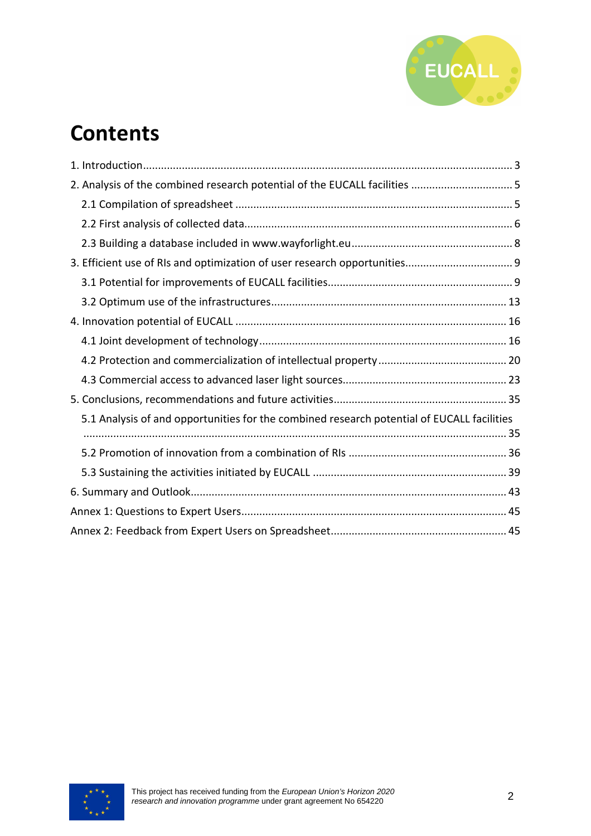

## **Contents**

| 2. Analysis of the combined research potential of the EUCALL facilities  5                 |  |
|--------------------------------------------------------------------------------------------|--|
|                                                                                            |  |
|                                                                                            |  |
|                                                                                            |  |
|                                                                                            |  |
|                                                                                            |  |
|                                                                                            |  |
|                                                                                            |  |
|                                                                                            |  |
|                                                                                            |  |
|                                                                                            |  |
|                                                                                            |  |
| 5.1 Analysis of and opportunities for the combined research potential of EUCALL facilities |  |
|                                                                                            |  |
|                                                                                            |  |
|                                                                                            |  |
|                                                                                            |  |
|                                                                                            |  |

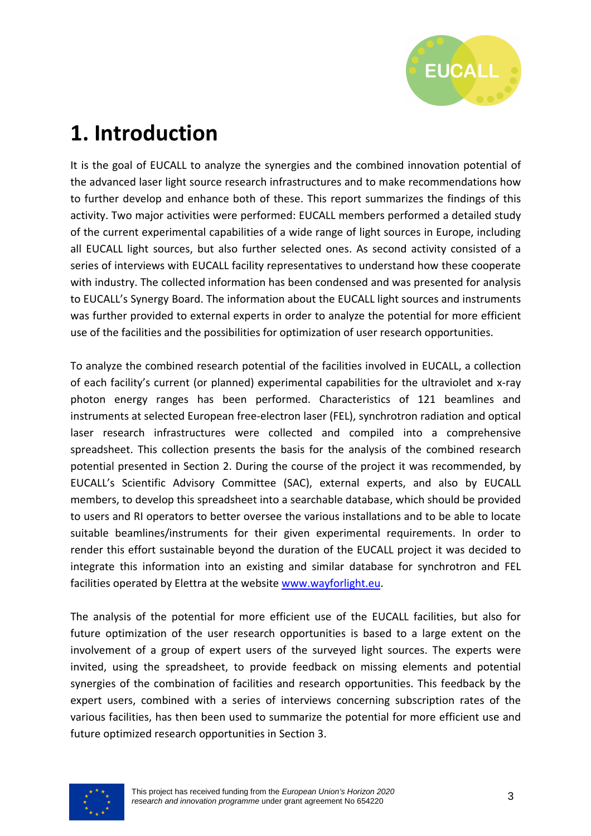

# **1. Introduction**

It is the goal of EUCALL to analyze the synergies and the combined innovation potential of the advanced laser light source research infrastructures and to make recommendations how to further develop and enhance both of these. This report summarizes the findings of this activity. Two major activities were performed: EUCALL members performed a detailed study of the current experimental capabilities of a wide range of light sources in Europe, including all EUCALL light sources, but also further selected ones. As second activity consisted of a series of interviews with EUCALL facility representatives to understand how these cooperate with industry. The collected information has been condensed and was presented for analysis to EUCALL's Synergy Board. The information about the EUCALL light sources and instruments was further provided to external experts in order to analyze the potential for more efficient use of the facilities and the possibilities for optimization of user research opportunities.

To analyze the combined research potential of the facilities involved in EUCALL, a collection of each facility's current (or planned) experimental capabilities for the ultraviolet and x-ray photon energy ranges has been performed. Characteristics of 121 beamlines and instruments at selected European free-electron laser (FEL), synchrotron radiation and optical laser research infrastructures were collected and compiled into a comprehensive spreadsheet. This collection presents the basis for the analysis of the combined research potential presented in Section 2. During the course of the project it was recommended, by EUCALL's Scientific Advisory Committee (SAC), external experts, and also by EUCALL members, to develop this spreadsheet into a searchable database, which should be provided to users and RI operators to better oversee the various installations and to be able to locate suitable beamlines/instruments for their given experimental requirements. In order to render this effort sustainable beyond the duration of the EUCALL project it was decided to integrate this information into an existing and similar database for synchrotron and FEL facilities operated by Elettra at the website www.wayforlight.eu.

The analysis of the potential for more efficient use of the EUCALL facilities, but also for future optimization of the user research opportunities is based to a large extent on the involvement of a group of expert users of the surveyed light sources. The experts were invited, using the spreadsheet, to provide feedback on missing elements and potential synergies of the combination of facilities and research opportunities. This feedback by the expert users, combined with a series of interviews concerning subscription rates of the various facilities, has then been used to summarize the potential for more efficient use and future optimized research opportunities in Section 3.

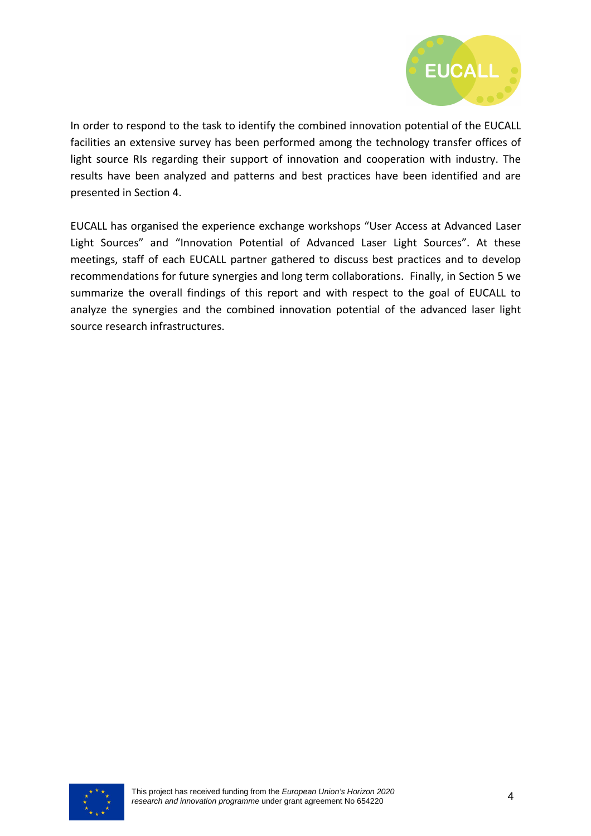

In order to respond to the task to identify the combined innovation potential of the EUCALL facilities an extensive survey has been performed among the technology transfer offices of light source RIs regarding their support of innovation and cooperation with industry. The results have been analyzed and patterns and best practices have been identified and are presented in Section 4.

EUCALL has organised the experience exchange workshops "User Access at Advanced Laser Light Sources" and "Innovation Potential of Advanced Laser Light Sources". At these meetings, staff of each EUCALL partner gathered to discuss best practices and to develop recommendations for future synergies and long term collaborations. Finally, in Section 5 we summarize the overall findings of this report and with respect to the goal of EUCALL to analyze the synergies and the combined innovation potential of the advanced laser light source research infrastructures.

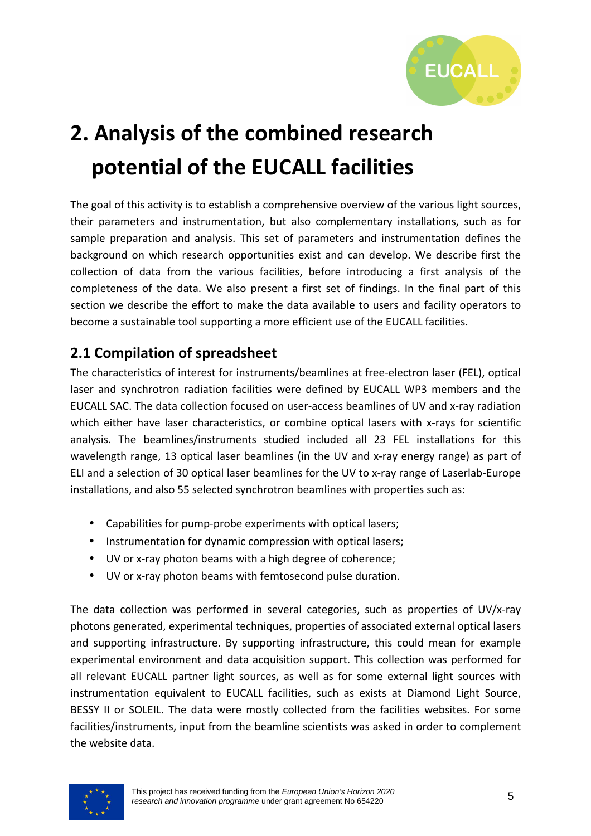

# **2. Analysis of the combined research potential of the EUCALL facilities**

The goal of this activity is to establish a comprehensive overview of the various light sources, their parameters and instrumentation, but also complementary installations, such as for sample preparation and analysis. This set of parameters and instrumentation defines the background on which research opportunities exist and can develop. We describe first the collection of data from the various facilities, before introducing a first analysis of the completeness of the data. We also present a first set of findings. In the final part of this section we describe the effort to make the data available to users and facility operators to become a sustainable tool supporting a more efficient use of the EUCALL facilities.

## **2.1 Compilation of spreadsheet**

The characteristics of interest for instruments/beamlines at free-electron laser (FEL), optical laser and synchrotron radiation facilities were defined by EUCALL WP3 members and the EUCALL SAC. The data collection focused on user-access beamlines of UV and x-ray radiation which either have laser characteristics, or combine optical lasers with x-rays for scientific analysis. The beamlines/instruments studied included all 23 FEL installations for this wavelength range, 13 optical laser beamlines (in the UV and x-ray energy range) as part of ELI and a selection of 30 optical laser beamlines for the UV to x-ray range of Laserlab-Europe installations, and also 55 selected synchrotron beamlines with properties such as:

- Capabilities for pump-probe experiments with optical lasers;
- Instrumentation for dynamic compression with optical lasers;
- UV or x-ray photon beams with a high degree of coherence;
- UV or x-ray photon beams with femtosecond pulse duration.

The data collection was performed in several categories, such as properties of UV/x-ray photons generated, experimental techniques, properties of associated external optical lasers and supporting infrastructure. By supporting infrastructure, this could mean for example experimental environment and data acquisition support. This collection was performed for all relevant EUCALL partner light sources, as well as for some external light sources with instrumentation equivalent to EUCALL facilities, such as exists at Diamond Light Source, BESSY II or SOLEIL. The data were mostly collected from the facilities websites. For some facilities/instruments, input from the beamline scientists was asked in order to complement the website data.

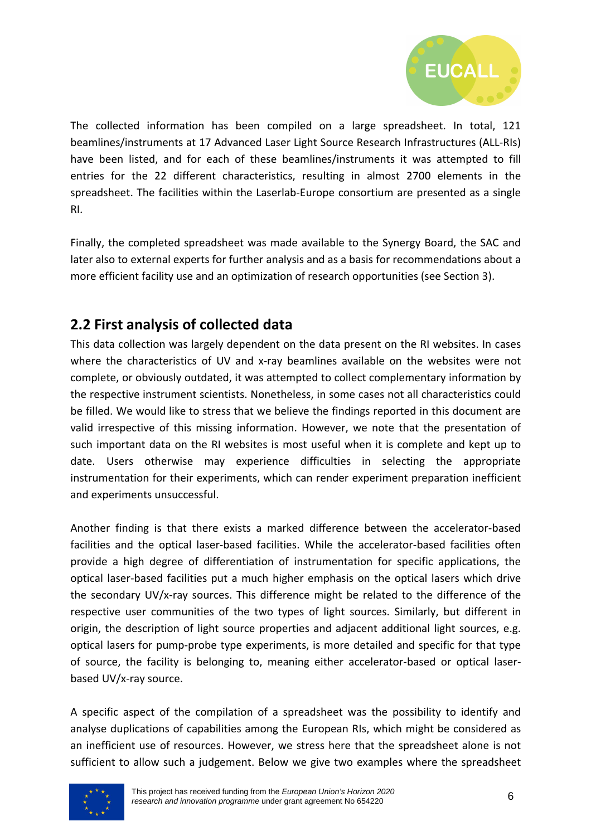

The collected information has been compiled on a large spreadsheet. In total, 121 beamlines/instruments at 17 Advanced Laser Light Source Research Infrastructures (ALL-RIs) have been listed, and for each of these beamlines/instruments it was attempted to fill entries for the 22 different characteristics, resulting in almost 2700 elements in the spreadsheet. The facilities within the Laserlab-Europe consortium are presented as a single RI.

Finally, the completed spreadsheet was made available to the Synergy Board, the SAC and later also to external experts for further analysis and as a basis for recommendations about a more efficient facility use and an optimization of research opportunities (see Section 3).

## **2.2 First analysis of collected data**

This data collection was largely dependent on the data present on the RI websites. In cases where the characteristics of UV and x-ray beamlines available on the websites were not complete, or obviously outdated, it was attempted to collect complementary information by the respective instrument scientists. Nonetheless, in some cases not all characteristics could be filled. We would like to stress that we believe the findings reported in this document are valid irrespective of this missing information. However, we note that the presentation of such important data on the RI websites is most useful when it is complete and kept up to date. Users otherwise may experience difficulties in selecting the appropriate instrumentation for their experiments, which can render experiment preparation inefficient and experiments unsuccessful.

Another finding is that there exists a marked difference between the accelerator-based facilities and the optical laser-based facilities. While the accelerator-based facilities often provide a high degree of differentiation of instrumentation for specific applications, the optical laser-based facilities put a much higher emphasis on the optical lasers which drive the secondary UV/x-ray sources. This difference might be related to the difference of the respective user communities of the two types of light sources. Similarly, but different in origin, the description of light source properties and adjacent additional light sources, e.g. optical lasers for pump-probe type experiments, is more detailed and specific for that type of source, the facility is belonging to, meaning either accelerator-based or optical laserbased UV/x-ray source.

A specific aspect of the compilation of a spreadsheet was the possibility to identify and analyse duplications of capabilities among the European RIs, which might be considered as an inefficient use of resources. However, we stress here that the spreadsheet alone is not sufficient to allow such a judgement. Below we give two examples where the spreadsheet

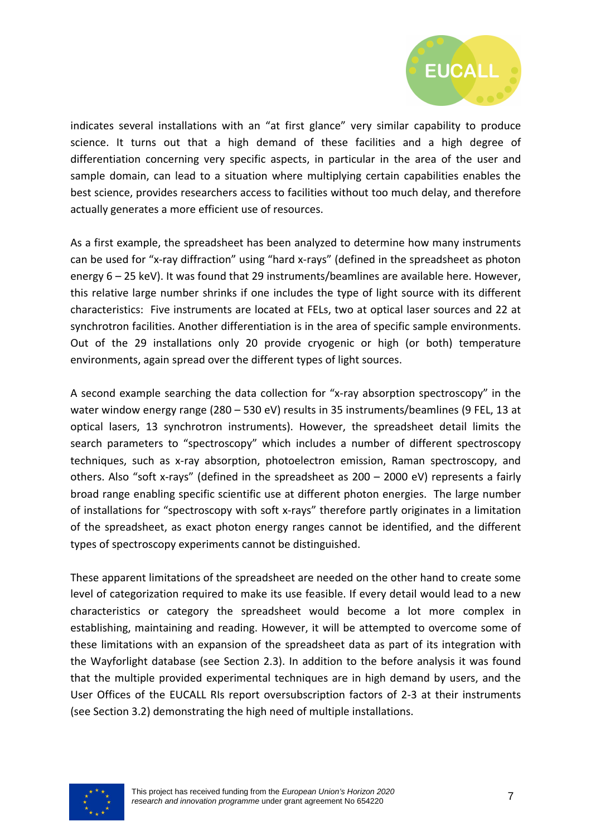

indicates several installations with an "at first glance" very similar capability to produce science. It turns out that a high demand of these facilities and a high degree of differentiation concerning very specific aspects, in particular in the area of the user and sample domain, can lead to a situation where multiplying certain capabilities enables the best science, provides researchers access to facilities without too much delay, and therefore actually generates a more efficient use of resources.

As a first example, the spreadsheet has been analyzed to determine how many instruments can be used for "x-ray diffraction" using "hard x-rays" (defined in the spreadsheet as photon energy 6 – 25 keV). It was found that 29 instruments/beamlines are available here. However, this relative large number shrinks if one includes the type of light source with its different characteristics: Five instruments are located at FELs, two at optical laser sources and 22 at synchrotron facilities. Another differentiation is in the area of specific sample environments. Out of the 29 installations only 20 provide cryogenic or high (or both) temperature environments, again spread over the different types of light sources.

A second example searching the data collection for "x-ray absorption spectroscopy" in the water window energy range (280 – 530 eV) results in 35 instruments/beamlines (9 FEL, 13 at optical lasers, 13 synchrotron instruments). However, the spreadsheet detail limits the search parameters to "spectroscopy" which includes a number of different spectroscopy techniques, such as x-ray absorption, photoelectron emission, Raman spectroscopy, and others. Also "soft x-rays" (defined in the spreadsheet as 200 – 2000 eV) represents a fairly broad range enabling specific scientific use at different photon energies. The large number of installations for "spectroscopy with soft x-rays" therefore partly originates in a limitation of the spreadsheet, as exact photon energy ranges cannot be identified, and the different types of spectroscopy experiments cannot be distinguished.

These apparent limitations of the spreadsheet are needed on the other hand to create some level of categorization required to make its use feasible. If every detail would lead to a new characteristics or category the spreadsheet would become a lot more complex in establishing, maintaining and reading. However, it will be attempted to overcome some of these limitations with an expansion of the spreadsheet data as part of its integration with the Wayforlight database (see Section 2.3). In addition to the before analysis it was found that the multiple provided experimental techniques are in high demand by users, and the User Offices of the EUCALL RIs report oversubscription factors of 2-3 at their instruments (see Section 3.2) demonstrating the high need of multiple installations.

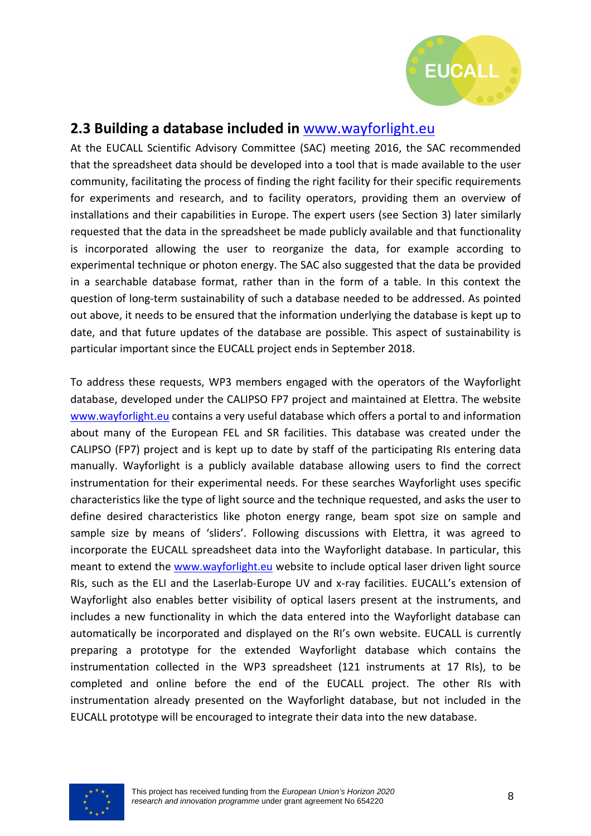

## **2.3 Building a database included in** www.wayforlight.eu

At the EUCALL Scientific Advisory Committee (SAC) meeting 2016, the SAC recommended that the spreadsheet data should be developed into a tool that is made available to the user community, facilitating the process of finding the right facility for their specific requirements for experiments and research, and to facility operators, providing them an overview of installations and their capabilities in Europe. The expert users (see Section 3) later similarly requested that the data in the spreadsheet be made publicly available and that functionality is incorporated allowing the user to reorganize the data, for example according to experimental technique or photon energy. The SAC also suggested that the data be provided in a searchable database format, rather than in the form of a table. In this context the question of long-term sustainability of such a database needed to be addressed. As pointed out above, it needs to be ensured that the information underlying the database is kept up to date, and that future updates of the database are possible. This aspect of sustainability is particular important since the EUCALL project ends in September 2018.

To address these requests, WP3 members engaged with the operators of the Wayforlight database, developed under the CALIPSO FP7 project and maintained at Elettra. The website www.wayforlight.eu contains a very useful database which offers a portal to and information about many of the European FEL and SR facilities. This database was created under the CALIPSO (FP7) project and is kept up to date by staff of the participating RIs entering data manually. Wayforlight is a publicly available database allowing users to find the correct instrumentation for their experimental needs. For these searches Wayforlight uses specific characteristics like the type of light source and the technique requested, and asks the user to define desired characteristics like photon energy range, beam spot size on sample and sample size by means of 'sliders'. Following discussions with Elettra, it was agreed to incorporate the EUCALL spreadsheet data into the Wayforlight database. In particular, this meant to extend the www.wayforlight.eu website to include optical laser driven light source RIs, such as the ELI and the Laserlab-Europe UV and x-ray facilities. EUCALL's extension of Wayforlight also enables better visibility of optical lasers present at the instruments, and includes a new functionality in which the data entered into the Wayforlight database can automatically be incorporated and displayed on the RI's own website. EUCALL is currently preparing a prototype for the extended Wayforlight database which contains the instrumentation collected in the WP3 spreadsheet (121 instruments at 17 RIs), to be completed and online before the end of the EUCALL project. The other RIs with instrumentation already presented on the Wayforlight database, but not included in the EUCALL prototype will be encouraged to integrate their data into the new database.

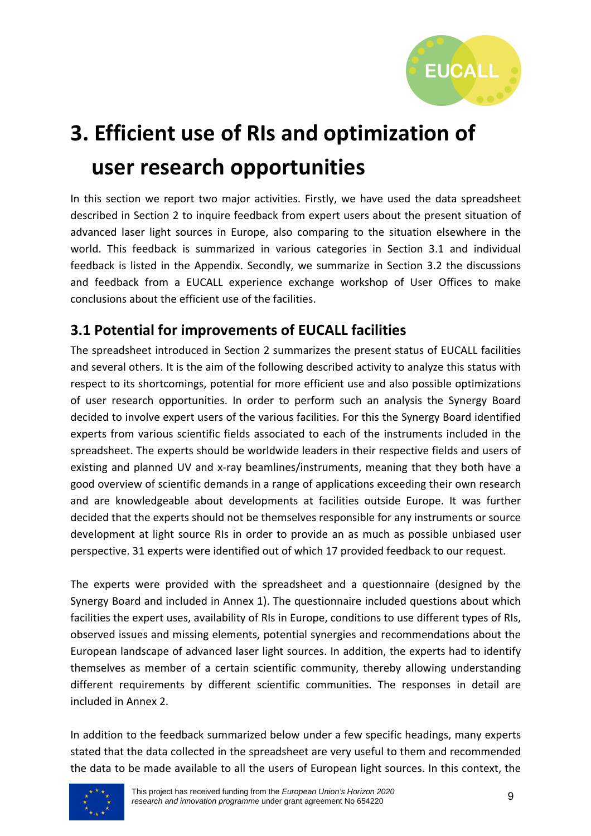

# **3. Efficient use of RIs and optimization of user research opportunities**

In this section we report two major activities. Firstly, we have used the data spreadsheet described in Section 2 to inquire feedback from expert users about the present situation of advanced laser light sources in Europe, also comparing to the situation elsewhere in the world. This feedback is summarized in various categories in Section 3.1 and individual feedback is listed in the Appendix. Secondly, we summarize in Section 3.2 the discussions and feedback from a EUCALL experience exchange workshop of User Offices to make conclusions about the efficient use of the facilities.

## **3.1 Potential for improvements of EUCALL facilities**

The spreadsheet introduced in Section 2 summarizes the present status of EUCALL facilities and several others. It is the aim of the following described activity to analyze this status with respect to its shortcomings, potential for more efficient use and also possible optimizations of user research opportunities. In order to perform such an analysis the Synergy Board decided to involve expert users of the various facilities. For this the Synergy Board identified experts from various scientific fields associated to each of the instruments included in the spreadsheet. The experts should be worldwide leaders in their respective fields and users of existing and planned UV and x-ray beamlines/instruments, meaning that they both have a good overview of scientific demands in a range of applications exceeding their own research and are knowledgeable about developments at facilities outside Europe. It was further decided that the experts should not be themselves responsible for any instruments or source development at light source RIs in order to provide an as much as possible unbiased user perspective. 31 experts were identified out of which 17 provided feedback to our request.

The experts were provided with the spreadsheet and a questionnaire (designed by the Synergy Board and included in Annex 1). The questionnaire included questions about which facilities the expert uses, availability of RIs in Europe, conditions to use different types of RIs, observed issues and missing elements, potential synergies and recommendations about the European landscape of advanced laser light sources. In addition, the experts had to identify themselves as member of a certain scientific community, thereby allowing understanding different requirements by different scientific communities. The responses in detail are included in Annex 2.

In addition to the feedback summarized below under a few specific headings, many experts stated that the data collected in the spreadsheet are very useful to them and recommended the data to be made available to all the users of European light sources. In this context, the

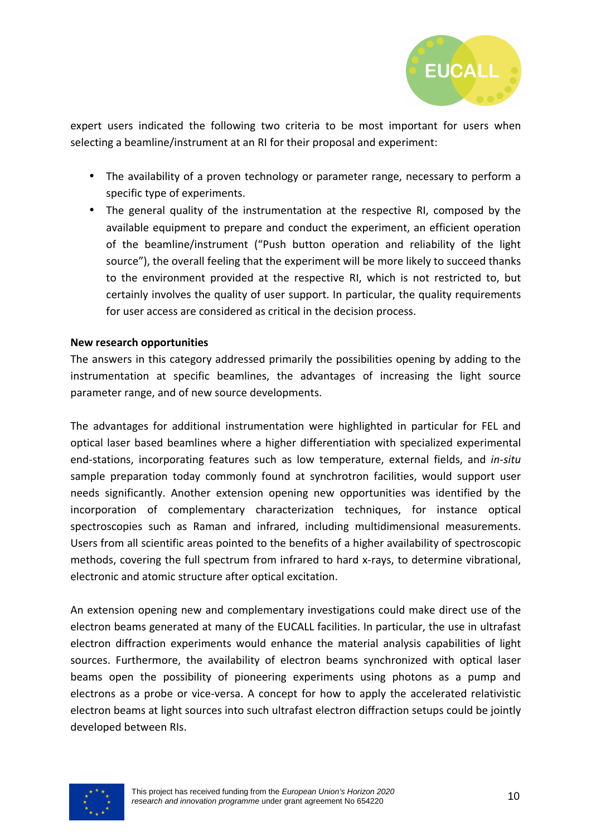

expert users indicated the following two criteria to be most important for users when selecting a beamline/instrument at an RI for their proposal and experiment:

- The availability of a proven technology or parameter range, necessary to perform a specific type of experiments.
- The general quality of the instrumentation at the respective RI, composed by the available equipment to prepare and conduct the experiment, an efficient operation of the beamline/instrument ("Push button operation and reliability of the light source"), the overall feeling that the experiment will be more likely to succeed thanks to the environment provided at the respective RI, which is not restricted to, but certainly involves the quality of user support. In particular, the quality requirements for user access are considered as critical in the decision process.

#### **New research opportunities**

The answers in this category addressed primarily the possibilities opening by adding to the instrumentation at specific beamlines, the advantages of increasing the light source parameter range, and of new source developments.

The advantages for additional instrumentation were highlighted in particular for FEL and optical laser based beamlines where a higher differentiation with specialized experimental end-stations, incorporating features such as low temperature, external fields, and *in-situ* sample preparation today commonly found at synchrotron facilities, would support user needs significantly. Another extension opening new opportunities was identified by the incorporation of complementary characterization techniques, for instance optical spectroscopies such as Raman and infrared, including multidimensional measurements. Users from all scientific areas pointed to the benefits of a higher availability of spectroscopic methods, covering the full spectrum from infrared to hard x-rays, to determine vibrational, electronic and atomic structure after optical excitation.

An extension opening new and complementary investigations could make direct use of the electron beams generated at many of the EUCALL facilities. In particular, the use in ultrafast electron diffraction experiments would enhance the material analysis capabilities of light sources. Furthermore, the availability of electron beams synchronized with optical laser beams open the possibility of pioneering experiments using photons as a pump and electrons as a probe or vice-versa. A concept for how to apply the accelerated relativistic electron beams at light sources into such ultrafast electron diffraction setups could be jointly developed between RIs.

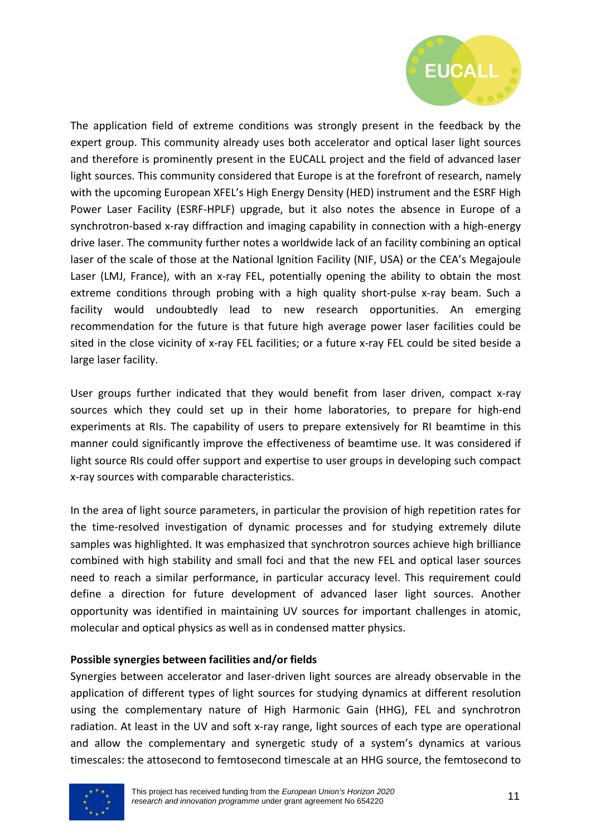

The application field of extreme conditions was strongly present in the feedback by the expert group. This community already uses both accelerator and optical laser light sources and therefore is prominently present in the EUCALL project and the field of advanced laser light sources. This community considered that Europe is at the forefront of research, namely with the upcoming European XFEL's High Energy Density (HED) instrument and the ESRF High Power Laser Facility (ESRF-HPLF) upgrade, but it also notes the absence in Europe of a synchrotron-based x-ray diffraction and imaging capability in connection with a high-energy drive laser. The community further notes a worldwide lack of an facility combining an optical laser of the scale of those at the National Ignition Facility (NIF, USA) or the CEA's Megajoule Laser (LMJ, France), with an x-ray FEL, potentially opening the ability to obtain the most extreme conditions through probing with a high quality short-pulse x-ray beam. Such a facility would undoubtedly lead to new research opportunities. An emerging recommendation for the future is that future high average power laser facilities could be sited in the close vicinity of x-ray FEL facilities; or a future x-ray FEL could be sited beside a large laser facility.

User groups further indicated that they would benefit from laser driven, compact x-ray sources which they could set up in their home laboratories, to prepare for high-end experiments at RIs. The capability of users to prepare extensively for RI beamtime in this manner could significantly improve the effectiveness of beamtime use. It was considered if light source RIs could offer support and expertise to user groups in developing such compact x-ray sources with comparable characteristics.

In the area of light source parameters, in particular the provision of high repetition rates for the time-resolved investigation of dynamic processes and for studying extremely dilute samples was highlighted. It was emphasized that synchrotron sources achieve high brilliance combined with high stability and small foci and that the new FEL and optical laser sources need to reach a similar performance, in particular accuracy level. This requirement could define a direction for future development of advanced laser light sources. Another opportunity was identified in maintaining UV sources for important challenges in atomic, molecular and optical physics as well as in condensed matter physics.

#### **Possible synergies between facilities and/or fields**

Synergies between accelerator and laser-driven light sources are already observable in the application of different types of light sources for studying dynamics at different resolution using the complementary nature of High Harmonic Gain (HHG), FEL and synchrotron radiation. At least in the UV and soft x-ray range, light sources of each type are operational and allow the complementary and synergetic study of a system's dynamics at various timescales: the attosecond to femtosecond timescale at an HHG source, the femtosecond to

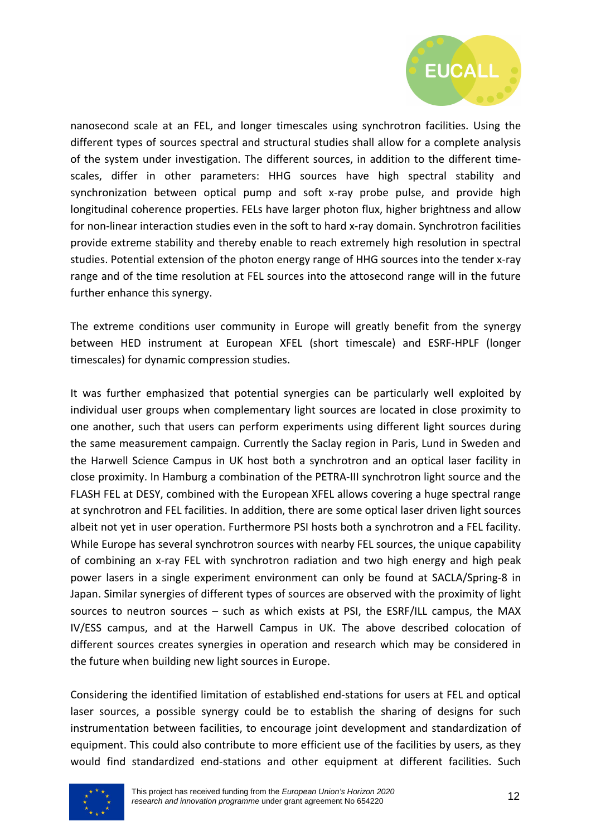

nanosecond scale at an FEL, and longer timescales using synchrotron facilities. Using the different types of sources spectral and structural studies shall allow for a complete analysis of the system under investigation. The different sources, in addition to the different timescales, differ in other parameters: HHG sources have high spectral stability and synchronization between optical pump and soft x-ray probe pulse, and provide high longitudinal coherence properties. FELs have larger photon flux, higher brightness and allow for non-linear interaction studies even in the soft to hard x-ray domain. Synchrotron facilities provide extreme stability and thereby enable to reach extremely high resolution in spectral studies. Potential extension of the photon energy range of HHG sources into the tender x-ray range and of the time resolution at FEL sources into the attosecond range will in the future further enhance this synergy.

The extreme conditions user community in Europe will greatly benefit from the synergy between HED instrument at European XFEL (short timescale) and ESRF-HPLF (longer timescales) for dynamic compression studies.

It was further emphasized that potential synergies can be particularly well exploited by individual user groups when complementary light sources are located in close proximity to one another, such that users can perform experiments using different light sources during the same measurement campaign. Currently the Saclay region in Paris, Lund in Sweden and the Harwell Science Campus in UK host both a synchrotron and an optical laser facility in close proximity. In Hamburg a combination of the PETRA-III synchrotron light source and the FLASH FEL at DESY, combined with the European XFEL allows covering a huge spectral range at synchrotron and FEL facilities. In addition, there are some optical laser driven light sources albeit not yet in user operation. Furthermore PSI hosts both a synchrotron and a FEL facility. While Europe has several synchrotron sources with nearby FEL sources, the unique capability of combining an x-ray FEL with synchrotron radiation and two high energy and high peak power lasers in a single experiment environment can only be found at SACLA/Spring-8 in Japan. Similar synergies of different types of sources are observed with the proximity of light sources to neutron sources – such as which exists at PSI, the ESRF/ILL campus, the MAX IV/ESS campus, and at the Harwell Campus in UK. The above described colocation of different sources creates synergies in operation and research which may be considered in the future when building new light sources in Europe.

Considering the identified limitation of established end-stations for users at FEL and optical laser sources, a possible synergy could be to establish the sharing of designs for such instrumentation between facilities, to encourage joint development and standardization of equipment. This could also contribute to more efficient use of the facilities by users, as they would find standardized end-stations and other equipment at different facilities. Such

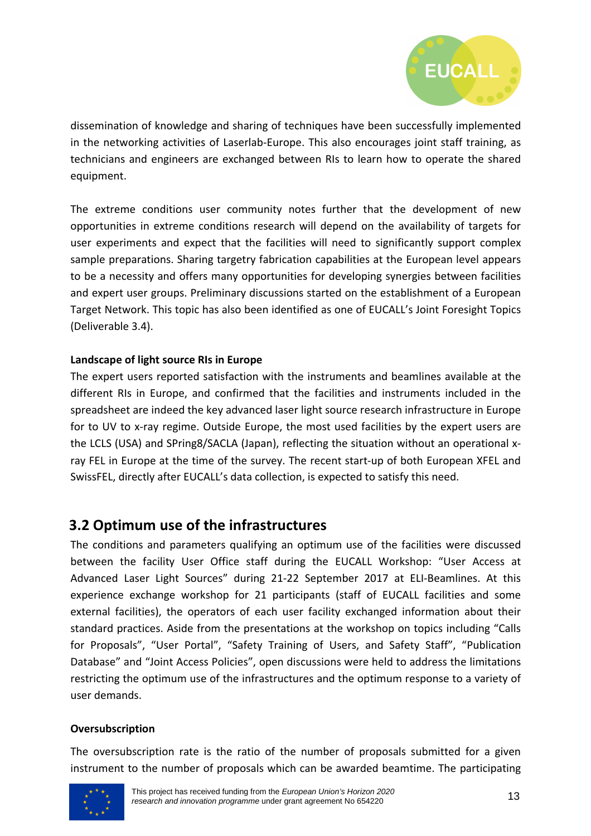

dissemination of knowledge and sharing of techniques have been successfully implemented in the networking activities of Laserlab-Europe. This also encourages joint staff training, as technicians and engineers are exchanged between RIs to learn how to operate the shared equipment.

The extreme conditions user community notes further that the development of new opportunities in extreme conditions research will depend on the availability of targets for user experiments and expect that the facilities will need to significantly support complex sample preparations. Sharing targetry fabrication capabilities at the European level appears to be a necessity and offers many opportunities for developing synergies between facilities and expert user groups. Preliminary discussions started on the establishment of a European Target Network. This topic has also been identified as one of EUCALL's Joint Foresight Topics (Deliverable 3.4).

#### **Landscape of light source RIs in Europe**

The expert users reported satisfaction with the instruments and beamlines available at the different RIs in Europe, and confirmed that the facilities and instruments included in the spreadsheet are indeed the key advanced laser light source research infrastructure in Europe for to UV to x-ray regime. Outside Europe, the most used facilities by the expert users are the LCLS (USA) and SPring8/SACLA (Japan), reflecting the situation without an operational xray FEL in Europe at the time of the survey. The recent start-up of both European XFEL and SwissFEL, directly after EUCALL's data collection, is expected to satisfy this need.

### **3.2 Optimum use of the infrastructures**

The conditions and parameters qualifying an optimum use of the facilities were discussed between the facility User Office staff during the EUCALL Workshop: "User Access at Advanced Laser Light Sources" during 21-22 September 2017 at ELI-Beamlines. At this experience exchange workshop for 21 participants (staff of EUCALL facilities and some external facilities), the operators of each user facility exchanged information about their standard practices. Aside from the presentations at the workshop on topics including "Calls for Proposals", "User Portal", "Safety Training of Users, and Safety Staff", "Publication Database" and "Joint Access Policies", open discussions were held to address the limitations restricting the optimum use of the infrastructures and the optimum response to a variety of user demands.

#### **Oversubscription**

The oversubscription rate is the ratio of the number of proposals submitted for a given instrument to the number of proposals which can be awarded beamtime. The participating

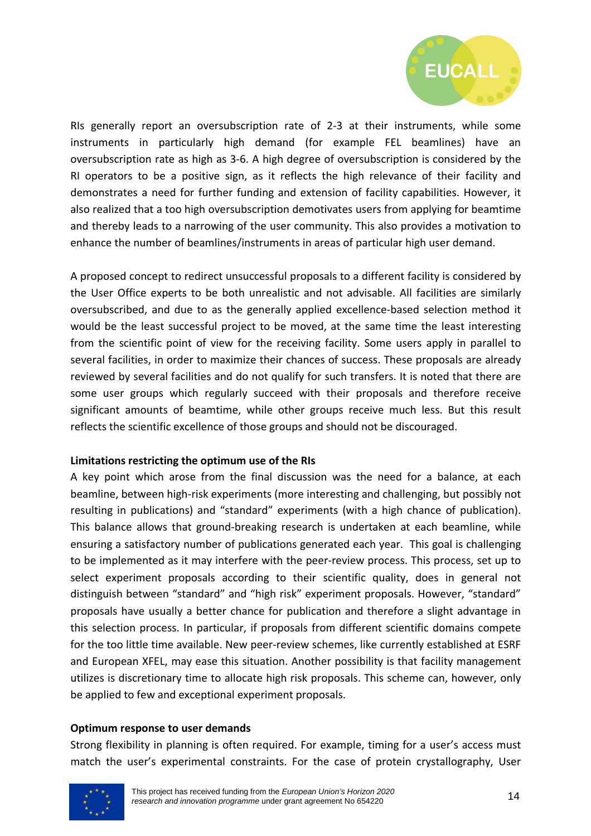

RIs generally report an oversubscription rate of 2-3 at their instruments, while some instruments in particularly high demand (for example FEL beamlines) have an oversubscription rate as high as 3-6. A high degree of oversubscription is considered by the RI operators to be a positive sign, as it reflects the high relevance of their facility and demonstrates a need for further funding and extension of facility capabilities. However, it also realized that a too high oversubscription demotivates users from applying for beamtime and thereby leads to a narrowing of the user community. This also provides a motivation to enhance the number of beamlines/instruments in areas of particular high user demand.

A proposed concept to redirect unsuccessful proposals to a different facility is considered by the User Office experts to be both unrealistic and not advisable. All facilities are similarly oversubscribed, and due to as the generally applied excellence-based selection method it would be the least successful project to be moved, at the same time the least interesting from the scientific point of view for the receiving facility. Some users apply in parallel to several facilities, in order to maximize their chances of success. These proposals are already reviewed by several facilities and do not qualify for such transfers. It is noted that there are some user groups which regularly succeed with their proposals and therefore receive significant amounts of beamtime, while other groups receive much less. But this result reflects the scientific excellence of those groups and should not be discouraged.

#### **Limitations restricting the optimum use of the RIs**

A key point which arose from the final discussion was the need for a balance, at each beamline, between high-risk experiments (more interesting and challenging, but possibly not resulting in publications) and "standard" experiments (with a high chance of publication). This balance allows that ground-breaking research is undertaken at each beamline, while ensuring a satisfactory number of publications generated each year. This goal is challenging to be implemented as it may interfere with the peer-review process. This process, set up to select experiment proposals according to their scientific quality, does in general not distinguish between "standard" and "high risk" experiment proposals. However, "standard" proposals have usually a better chance for publication and therefore a slight advantage in this selection process. In particular, if proposals from different scientific domains compete for the too little time available. New peer-review schemes, like currently established at ESRF and European XFEL, may ease this situation. Another possibility is that facility management utilizes is discretionary time to allocate high risk proposals. This scheme can, however, only be applied to few and exceptional experiment proposals.

#### **Optimum response to user demands**

Strong flexibility in planning is often required. For example, timing for a user's access must match the user's experimental constraints. For the case of protein crystallography, User

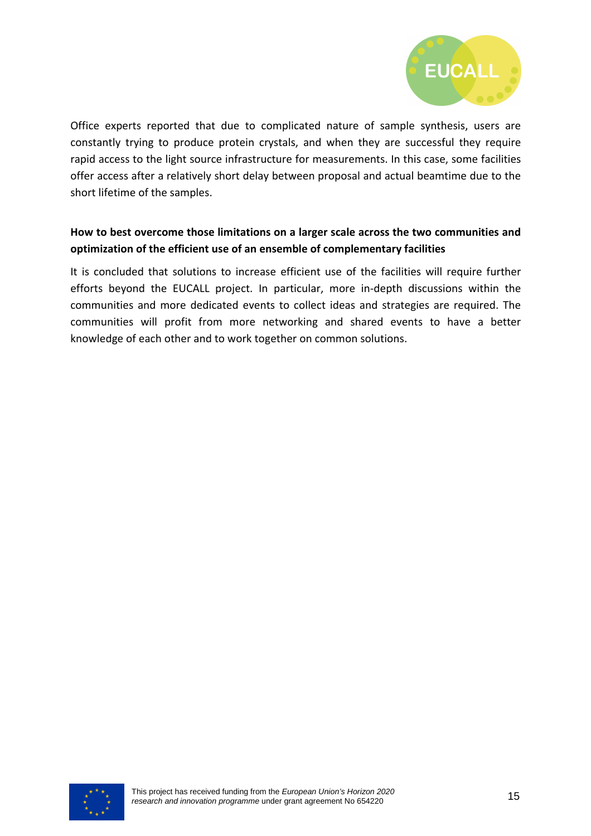

Office experts reported that due to complicated nature of sample synthesis, users are constantly trying to produce protein crystals, and when they are successful they require rapid access to the light source infrastructure for measurements. In this case, some facilities offer access after a relatively short delay between proposal and actual beamtime due to the short lifetime of the samples.

#### **How to best overcome those limitations on a larger scale across the two communities and optimization of the efficient use of an ensemble of complementary facilities**

It is concluded that solutions to increase efficient use of the facilities will require further efforts beyond the EUCALL project. In particular, more in-depth discussions within the communities and more dedicated events to collect ideas and strategies are required. The communities will profit from more networking and shared events to have a better knowledge of each other and to work together on common solutions.

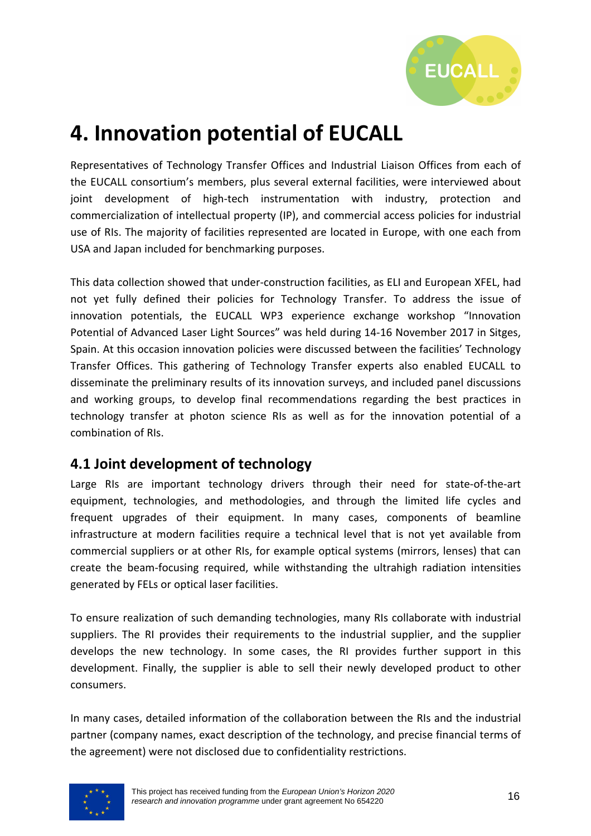

## **4. Innovation potential of EUCALL**

Representatives of Technology Transfer Offices and Industrial Liaison Offices from each of the EUCALL consortium's members, plus several external facilities, were interviewed about joint development of high-tech instrumentation with industry, protection and commercialization of intellectual property (IP), and commercial access policies for industrial use of RIs. The majority of facilities represented are located in Europe, with one each from USA and Japan included for benchmarking purposes.

This data collection showed that under-construction facilities, as ELI and European XFEL, had not yet fully defined their policies for Technology Transfer. To address the issue of innovation potentials, the EUCALL WP3 experience exchange workshop "Innovation Potential of Advanced Laser Light Sources" was held during 14-16 November 2017 in Sitges, Spain. At this occasion innovation policies were discussed between the facilities' Technology Transfer Offices. This gathering of Technology Transfer experts also enabled EUCALL to disseminate the preliminary results of its innovation surveys, and included panel discussions and working groups, to develop final recommendations regarding the best practices in technology transfer at photon science RIs as well as for the innovation potential of a combination of RIs.

### **4.1 Joint development of technology**

Large RIs are important technology drivers through their need for state-of-the-art equipment, technologies, and methodologies, and through the limited life cycles and frequent upgrades of their equipment. In many cases, components of beamline infrastructure at modern facilities require a technical level that is not yet available from commercial suppliers or at other RIs, for example optical systems (mirrors, lenses) that can create the beam-focusing required, while withstanding the ultrahigh radiation intensities generated by FELs or optical laser facilities.

To ensure realization of such demanding technologies, many RIs collaborate with industrial suppliers. The RI provides their requirements to the industrial supplier, and the supplier develops the new technology. In some cases, the RI provides further support in this development. Finally, the supplier is able to sell their newly developed product to other consumers.

In many cases, detailed information of the collaboration between the RIs and the industrial partner (company names, exact description of the technology, and precise financial terms of the agreement) were not disclosed due to confidentiality restrictions.

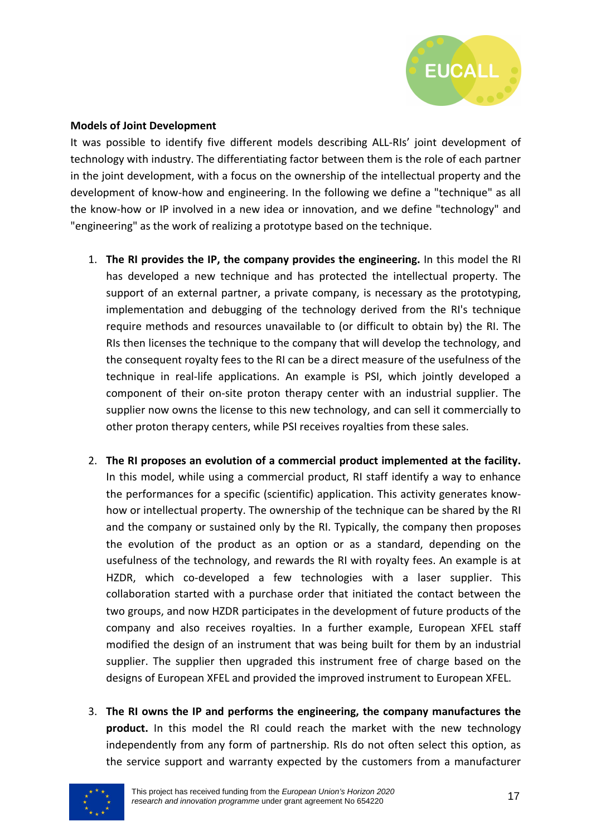

#### **Models of Joint Development**

It was possible to identify five different models describing ALL-RIs' joint development of technology with industry. The differentiating factor between them is the role of each partner in the joint development, with a focus on the ownership of the intellectual property and the development of know-how and engineering. In the following we define a "technique" as all the know-how or IP involved in a new idea or innovation, and we define "technology" and "engineering" as the work of realizing a prototype based on the technique.

- 1. **The RI provides the IP, the company provides the engineering.** In this model the RI has developed a new technique and has protected the intellectual property. The support of an external partner, a private company, is necessary as the prototyping, implementation and debugging of the technology derived from the RI's technique require methods and resources unavailable to (or difficult to obtain by) the RI. The RIs then licenses the technique to the company that will develop the technology, and the consequent royalty fees to the RI can be a direct measure of the usefulness of the technique in real-life applications. An example is PSI, which jointly developed a component of their on-site proton therapy center with an industrial supplier. The supplier now owns the license to this new technology, and can sell it commercially to other proton therapy centers, while PSI receives royalties from these sales.
- 2. **The RI proposes an evolution of a commercial product implemented at the facility.** In this model, while using a commercial product, RI staff identify a way to enhance the performances for a specific (scientific) application. This activity generates knowhow or intellectual property. The ownership of the technique can be shared by the RI and the company or sustained only by the RI. Typically, the company then proposes the evolution of the product as an option or as a standard, depending on the usefulness of the technology, and rewards the RI with royalty fees. An example is at HZDR, which co-developed a few technologies with a laser supplier. This collaboration started with a purchase order that initiated the contact between the two groups, and now HZDR participates in the development of future products of the company and also receives royalties. In a further example, European XFEL staff modified the design of an instrument that was being built for them by an industrial supplier. The supplier then upgraded this instrument free of charge based on the designs of European XFEL and provided the improved instrument to European XFEL.
- 3. **The RI owns the IP and performs the engineering, the company manufactures the product.** In this model the RI could reach the market with the new technology independently from any form of partnership. RIs do not often select this option, as the service support and warranty expected by the customers from a manufacturer

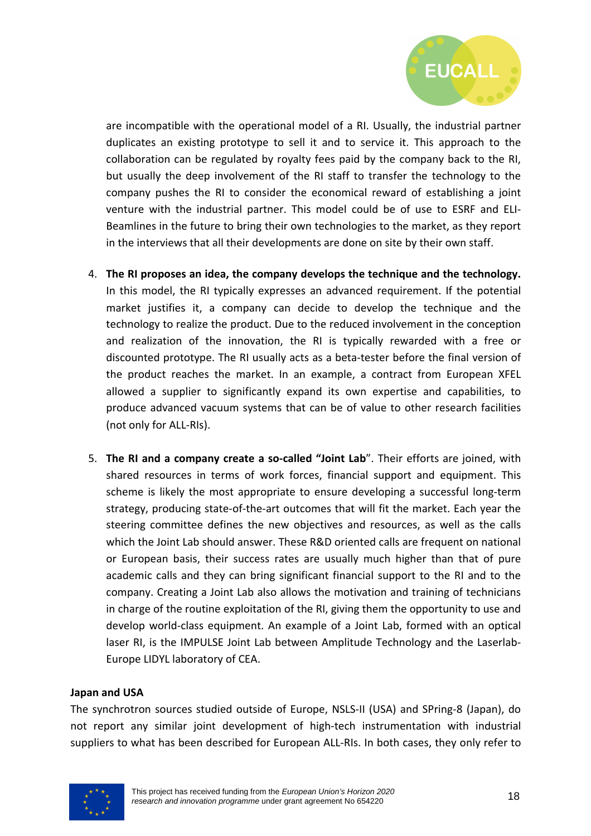

are incompatible with the operational model of a RI. Usually, the industrial partner duplicates an existing prototype to sell it and to service it. This approach to the collaboration can be regulated by royalty fees paid by the company back to the RI, but usually the deep involvement of the RI staff to transfer the technology to the company pushes the RI to consider the economical reward of establishing a joint venture with the industrial partner. This model could be of use to ESRF and ELI-Beamlines in the future to bring their own technologies to the market, as they report in the interviews that all their developments are done on site by their own staff.

- 4. **The RI proposes an idea, the company develops the technique and the technology.**  In this model, the RI typically expresses an advanced requirement. If the potential market justifies it, a company can decide to develop the technique and the technology to realize the product. Due to the reduced involvement in the conception and realization of the innovation, the RI is typically rewarded with a free or discounted prototype. The RI usually acts as a beta-tester before the final version of the product reaches the market. In an example, a contract from European XFEL allowed a supplier to significantly expand its own expertise and capabilities, to produce advanced vacuum systems that can be of value to other research facilities (not only for ALL-RIs).
- 5. **The RI and a company create a so-called "Joint Lab**". Their efforts are joined, with shared resources in terms of work forces, financial support and equipment. This scheme is likely the most appropriate to ensure developing a successful long-term strategy, producing state-of-the-art outcomes that will fit the market. Each year the steering committee defines the new objectives and resources, as well as the calls which the Joint Lab should answer. These R&D oriented calls are frequent on national or European basis, their success rates are usually much higher than that of pure academic calls and they can bring significant financial support to the RI and to the company. Creating a Joint Lab also allows the motivation and training of technicians in charge of the routine exploitation of the RI, giving them the opportunity to use and develop world-class equipment. An example of a Joint Lab, formed with an optical laser RI, is the IMPULSE Joint Lab between Amplitude Technology and the Laserlab-Europe LIDYL laboratory of CEA.

#### **Japan and USA**

The synchrotron sources studied outside of Europe, NSLS-II (USA) and SPring-8 (Japan), do not report any similar joint development of high-tech instrumentation with industrial suppliers to what has been described for European ALL-RIs. In both cases, they only refer to

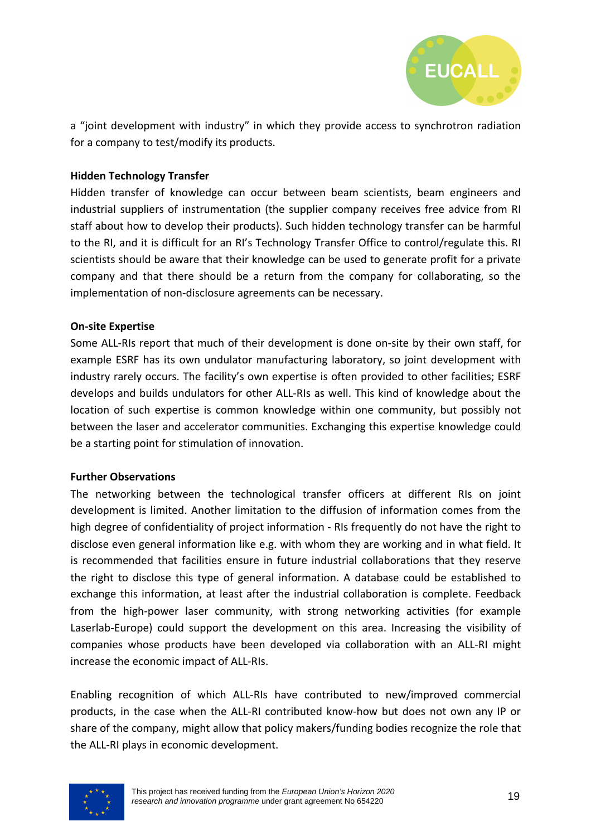

a "joint development with industry" in which they provide access to synchrotron radiation for a company to test/modify its products.

#### **Hidden Technology Transfer**

Hidden transfer of knowledge can occur between beam scientists, beam engineers and industrial suppliers of instrumentation (the supplier company receives free advice from RI staff about how to develop their products). Such hidden technology transfer can be harmful to the RI, and it is difficult for an RI's Technology Transfer Office to control/regulate this. RI scientists should be aware that their knowledge can be used to generate profit for a private company and that there should be a return from the company for collaborating, so the implementation of non-disclosure agreements can be necessary.

#### **On-site Expertise**

Some ALL-RIs report that much of their development is done on-site by their own staff, for example ESRF has its own undulator manufacturing laboratory, so joint development with industry rarely occurs. The facility's own expertise is often provided to other facilities; ESRF develops and builds undulators for other ALL-RIs as well. This kind of knowledge about the location of such expertise is common knowledge within one community, but possibly not between the laser and accelerator communities. Exchanging this expertise knowledge could be a starting point for stimulation of innovation.

#### **Further Observations**

The networking between the technological transfer officers at different RIs on joint development is limited. Another limitation to the diffusion of information comes from the high degree of confidentiality of project information - RIs frequently do not have the right to disclose even general information like e.g. with whom they are working and in what field. It is recommended that facilities ensure in future industrial collaborations that they reserve the right to disclose this type of general information. A database could be established to exchange this information, at least after the industrial collaboration is complete. Feedback from the high-power laser community, with strong networking activities (for example Laserlab-Europe) could support the development on this area. Increasing the visibility of companies whose products have been developed via collaboration with an ALL-RI might increase the economic impact of ALL-RIs.

Enabling recognition of which ALL-RIs have contributed to new/improved commercial products, in the case when the ALL-RI contributed know-how but does not own any IP or share of the company, might allow that policy makers/funding bodies recognize the role that the ALL-RI plays in economic development.

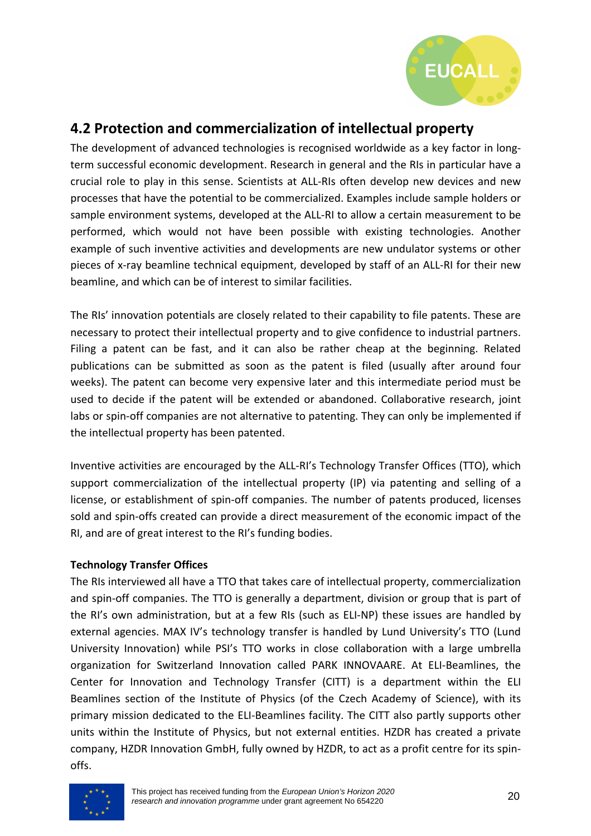

## **4.2 Protection and commercialization of intellectual property**

The development of advanced technologies is recognised worldwide as a key factor in longterm successful economic development. Research in general and the RIs in particular have a crucial role to play in this sense. Scientists at ALL-RIs often develop new devices and new processes that have the potential to be commercialized. Examples include sample holders or sample environment systems, developed at the ALL-RI to allow a certain measurement to be performed, which would not have been possible with existing technologies. Another example of such inventive activities and developments are new undulator systems or other pieces of x-ray beamline technical equipment, developed by staff of an ALL-RI for their new beamline, and which can be of interest to similar facilities.

The RIs' innovation potentials are closely related to their capability to file patents. These are necessary to protect their intellectual property and to give confidence to industrial partners. Filing a patent can be fast, and it can also be rather cheap at the beginning. Related publications can be submitted as soon as the patent is filed (usually after around four weeks). The patent can become very expensive later and this intermediate period must be used to decide if the patent will be extended or abandoned. Collaborative research, joint labs or spin-off companies are not alternative to patenting. They can only be implemented if the intellectual property has been patented.

Inventive activities are encouraged by the ALL-RI's Technology Transfer Offices (TTO), which support commercialization of the intellectual property (IP) via patenting and selling of a license, or establishment of spin-off companies. The number of patents produced, licenses sold and spin-offs created can provide a direct measurement of the economic impact of the RI, and are of great interest to the RI's funding bodies.

#### **Technology Transfer Offices**

The RIs interviewed all have a TTO that takes care of intellectual property, commercialization and spin-off companies. The TTO is generally a department, division or group that is part of the RI's own administration, but at a few RIs (such as ELI-NP) these issues are handled by external agencies. MAX IV's technology transfer is handled by Lund University's TTO (Lund University Innovation) while PSI's TTO works in close collaboration with a large umbrella organization for Switzerland Innovation called PARK INNOVAARE. At ELI-Beamlines, the Center for Innovation and Technology Transfer (CITT) is a department within the ELI Beamlines section of the Institute of Physics (of the Czech Academy of Science), with its primary mission dedicated to the ELI-Beamlines facility. The CITT also partly supports other units within the Institute of Physics, but not external entities. HZDR has created a private company, HZDR Innovation GmbH, fully owned by HZDR, to act as a profit centre for its spinoffs.

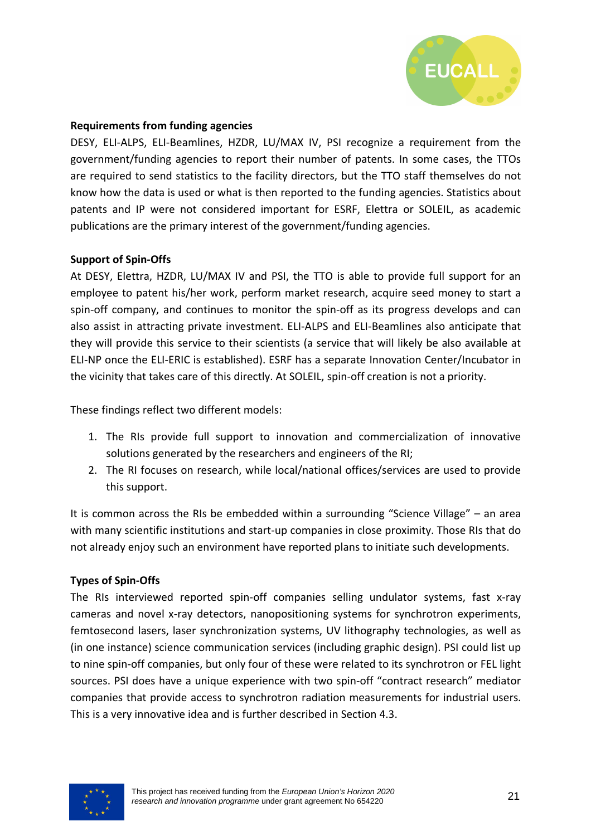

#### **Requirements from funding agencies**

DESY, ELI-ALPS, ELI-Beamlines, HZDR, LU/MAX IV, PSI recognize a requirement from the government/funding agencies to report their number of patents. In some cases, the TTOs are required to send statistics to the facility directors, but the TTO staff themselves do not know how the data is used or what is then reported to the funding agencies. Statistics about patents and IP were not considered important for ESRF, Elettra or SOLEIL, as academic publications are the primary interest of the government/funding agencies.

#### **Support of Spin-Offs**

At DESY, Elettra, HZDR, LU/MAX IV and PSI, the TTO is able to provide full support for an employee to patent his/her work, perform market research, acquire seed money to start a spin-off company, and continues to monitor the spin-off as its progress develops and can also assist in attracting private investment. ELI-ALPS and ELI-Beamlines also anticipate that they will provide this service to their scientists (a service that will likely be also available at ELI-NP once the ELI-ERIC is established). ESRF has a separate Innovation Center/Incubator in the vicinity that takes care of this directly. At SOLEIL, spin-off creation is not a priority.

These findings reflect two different models:

- 1. The RIs provide full support to innovation and commercialization of innovative solutions generated by the researchers and engineers of the RI;
- 2. The RI focuses on research, while local/national offices/services are used to provide this support.

It is common across the RIs be embedded within a surrounding "Science Village" – an area with many scientific institutions and start-up companies in close proximity. Those RIs that do not already enjoy such an environment have reported plans to initiate such developments.

#### **Types of Spin-Offs**

The RIs interviewed reported spin-off companies selling undulator systems, fast x-ray cameras and novel x-ray detectors, nanopositioning systems for synchrotron experiments, femtosecond lasers, laser synchronization systems, UV lithography technologies, as well as (in one instance) science communication services (including graphic design). PSI could list up to nine spin-off companies, but only four of these were related to its synchrotron or FEL light sources. PSI does have a unique experience with two spin-off "contract research" mediator companies that provide access to synchrotron radiation measurements for industrial users. This is a very innovative idea and is further described in Section 4.3.

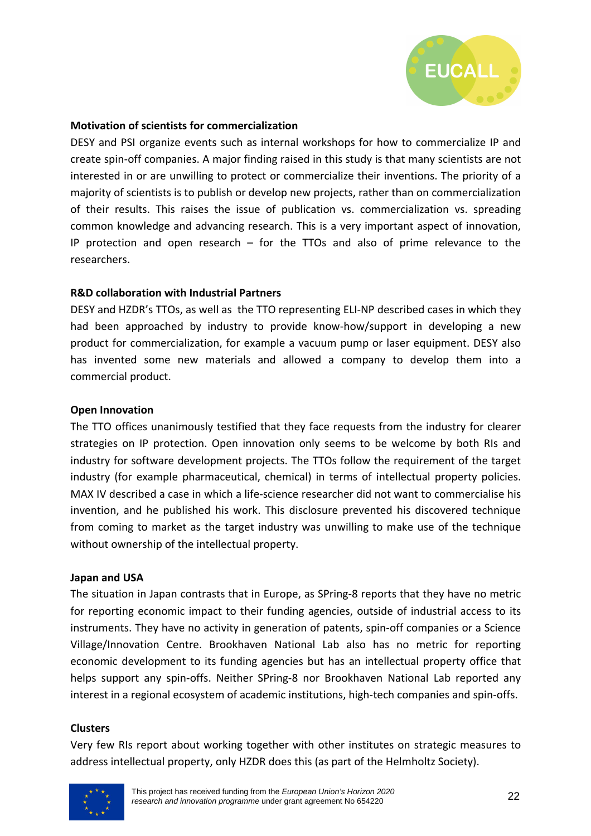

#### **Motivation of scientists for commercialization**

DESY and PSI organize events such as internal workshops for how to commercialize IP and create spin-off companies. A major finding raised in this study is that many scientists are not interested in or are unwilling to protect or commercialize their inventions. The priority of a majority of scientists is to publish or develop new projects, rather than on commercialization of their results. This raises the issue of publication vs. commercialization vs. spreading common knowledge and advancing research. This is a very important aspect of innovation, IP protection and open research – for the TTOs and also of prime relevance to the researchers.

#### **R&D collaboration with Industrial Partners**

DESY and HZDR's TTOs, as well as the TTO representing ELI-NP described cases in which they had been approached by industry to provide know-how/support in developing a new product for commercialization, for example a vacuum pump or laser equipment. DESY also has invented some new materials and allowed a company to develop them into a commercial product.

#### **Open Innovation**

The TTO offices unanimously testified that they face requests from the industry for clearer strategies on IP protection. Open innovation only seems to be welcome by both RIs and industry for software development projects. The TTOs follow the requirement of the target industry (for example pharmaceutical, chemical) in terms of intellectual property policies. MAX IV described a case in which a life-science researcher did not want to commercialise his invention, and he published his work. This disclosure prevented his discovered technique from coming to market as the target industry was unwilling to make use of the technique without ownership of the intellectual property.

#### **Japan and USA**

The situation in Japan contrasts that in Europe, as SPring-8 reports that they have no metric for reporting economic impact to their funding agencies, outside of industrial access to its instruments. They have no activity in generation of patents, spin-off companies or a Science Village/Innovation Centre. Brookhaven National Lab also has no metric for reporting economic development to its funding agencies but has an intellectual property office that helps support any spin-offs. Neither SPring-8 nor Brookhaven National Lab reported any interest in a regional ecosystem of academic institutions, high-tech companies and spin-offs.

#### **Clusters**

Very few RIs report about working together with other institutes on strategic measures to address intellectual property, only HZDR does this (as part of the Helmholtz Society).

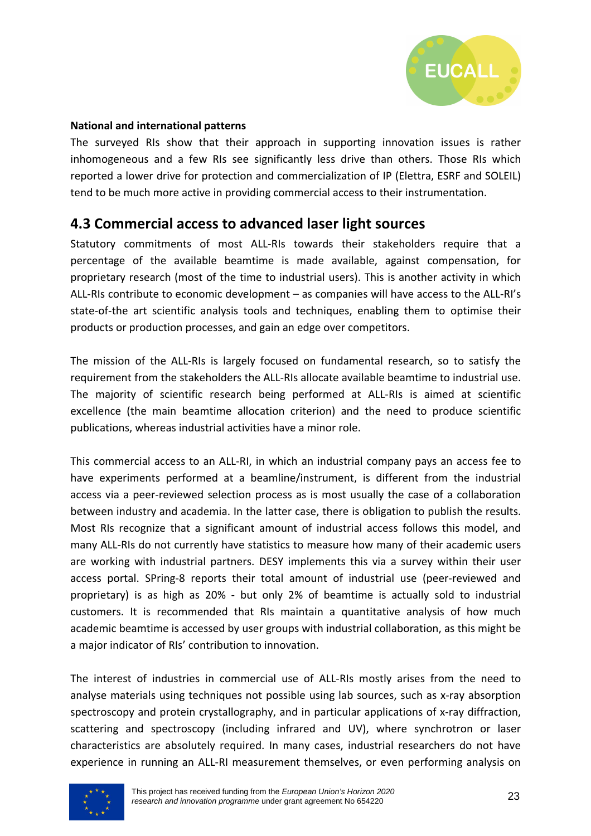

#### **National and international patterns**

The surveyed RIs show that their approach in supporting innovation issues is rather inhomogeneous and a few RIs see significantly less drive than others. Those RIs which reported a lower drive for protection and commercialization of IP (Elettra, ESRF and SOLEIL) tend to be much more active in providing commercial access to their instrumentation.

### **4.3 Commercial access to advanced laser light sources**

Statutory commitments of most ALL-RIs towards their stakeholders require that a percentage of the available beamtime is made available, against compensation, for proprietary research (most of the time to industrial users). This is another activity in which ALL-RIs contribute to economic development – as companies will have access to the ALL-RI's state-of-the art scientific analysis tools and techniques, enabling them to optimise their products or production processes, and gain an edge over competitors.

The mission of the ALL-RIs is largely focused on fundamental research, so to satisfy the requirement from the stakeholders the ALL-RIs allocate available beamtime to industrial use. The majority of scientific research being performed at ALL-RIs is aimed at scientific excellence (the main beamtime allocation criterion) and the need to produce scientific publications, whereas industrial activities have a minor role.

This commercial access to an ALL-RI, in which an industrial company pays an access fee to have experiments performed at a beamline/instrument, is different from the industrial access via a peer-reviewed selection process as is most usually the case of a collaboration between industry and academia. In the latter case, there is obligation to publish the results. Most RIs recognize that a significant amount of industrial access follows this model, and many ALL-RIs do not currently have statistics to measure how many of their academic users are working with industrial partners. DESY implements this via a survey within their user access portal. SPring-8 reports their total amount of industrial use (peer-reviewed and proprietary) is as high as 20% - but only 2% of beamtime is actually sold to industrial customers. It is recommended that RIs maintain a quantitative analysis of how much academic beamtime is accessed by user groups with industrial collaboration, as this might be a major indicator of RIs' contribution to innovation.

The interest of industries in commercial use of ALL-RIs mostly arises from the need to analyse materials using techniques not possible using lab sources, such as x-ray absorption spectroscopy and protein crystallography, and in particular applications of x-ray diffraction, scattering and spectroscopy (including infrared and UV), where synchrotron or laser characteristics are absolutely required. In many cases, industrial researchers do not have experience in running an ALL-RI measurement themselves, or even performing analysis on

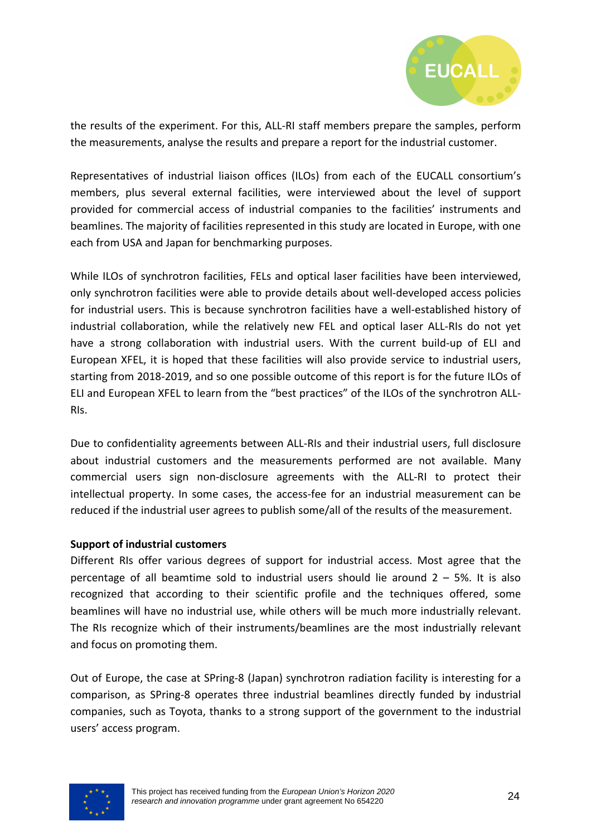

the results of the experiment. For this, ALL-RI staff members prepare the samples, perform the measurements, analyse the results and prepare a report for the industrial customer.

Representatives of industrial liaison offices (ILOs) from each of the EUCALL consortium's members, plus several external facilities, were interviewed about the level of support provided for commercial access of industrial companies to the facilities' instruments and beamlines. The majority of facilities represented in this study are located in Europe, with one each from USA and Japan for benchmarking purposes.

While ILOs of synchrotron facilities, FELs and optical laser facilities have been interviewed, only synchrotron facilities were able to provide details about well-developed access policies for industrial users. This is because synchrotron facilities have a well-established history of industrial collaboration, while the relatively new FEL and optical laser ALL-RIs do not yet have a strong collaboration with industrial users. With the current build-up of ELI and European XFEL, it is hoped that these facilities will also provide service to industrial users, starting from 2018-2019, and so one possible outcome of this report is for the future ILOs of ELI and European XFEL to learn from the "best practices" of the ILOs of the synchrotron ALL-RIs.

Due to confidentiality agreements between ALL-RIs and their industrial users, full disclosure about industrial customers and the measurements performed are not available. Many commercial users sign non-disclosure agreements with the ALL-RI to protect their intellectual property. In some cases, the access-fee for an industrial measurement can be reduced if the industrial user agrees to publish some/all of the results of the measurement.

#### **Support of industrial customers**

Different RIs offer various degrees of support for industrial access. Most agree that the percentage of all beamtime sold to industrial users should lie around  $2 - 5$ %. It is also recognized that according to their scientific profile and the techniques offered, some beamlines will have no industrial use, while others will be much more industrially relevant. The RIs recognize which of their instruments/beamlines are the most industrially relevant and focus on promoting them.

Out of Europe, the case at SPring-8 (Japan) synchrotron radiation facility is interesting for a comparison, as SPring-8 operates three industrial beamlines directly funded by industrial companies, such as Toyota, thanks to a strong support of the government to the industrial users' access program.

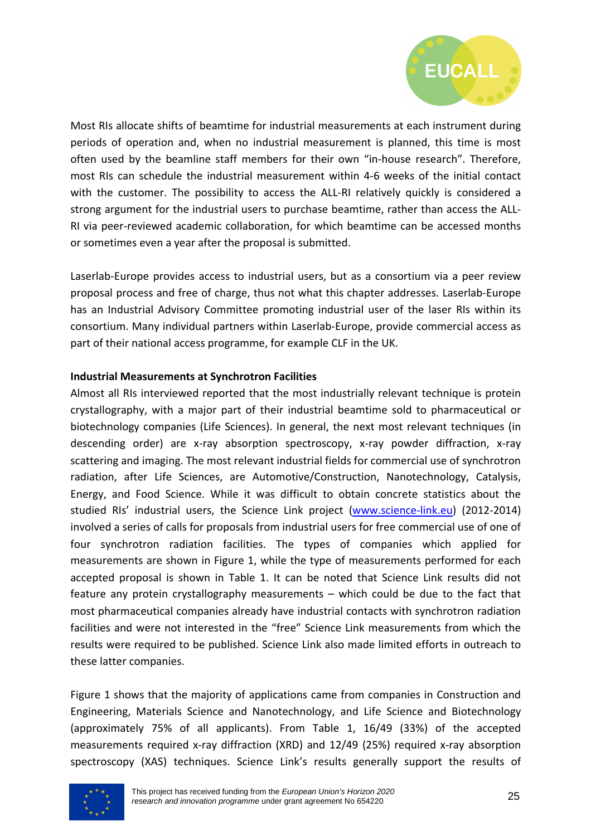

Most RIs allocate shifts of beamtime for industrial measurements at each instrument during periods of operation and, when no industrial measurement is planned, this time is most often used by the beamline staff members for their own "in-house research". Therefore, most RIs can schedule the industrial measurement within 4-6 weeks of the initial contact with the customer. The possibility to access the ALL-RI relatively quickly is considered a strong argument for the industrial users to purchase beamtime, rather than access the ALL-RI via peer-reviewed academic collaboration, for which beamtime can be accessed months or sometimes even a year after the proposal is submitted.

Laserlab-Europe provides access to industrial users, but as a consortium via a peer review proposal process and free of charge, thus not what this chapter addresses. Laserlab-Europe has an Industrial Advisory Committee promoting industrial user of the laser RIs within its consortium. Many individual partners within Laserlab-Europe, provide commercial access as part of their national access programme, for example CLF in the UK.

#### **Industrial Measurements at Synchrotron Facilities**

Almost all RIs interviewed reported that the most industrially relevant technique is protein crystallography, with a major part of their industrial beamtime sold to pharmaceutical or biotechnology companies (Life Sciences). In general, the next most relevant techniques (in descending order) are x-ray absorption spectroscopy, x-ray powder diffraction, x-ray scattering and imaging. The most relevant industrial fields for commercial use of synchrotron radiation, after Life Sciences, are Automotive/Construction, Nanotechnology, Catalysis, Energy, and Food Science. While it was difficult to obtain concrete statistics about the studied RIs' industrial users, the Science Link project (www.science-link.eu) (2012-2014) involved a series of calls for proposals from industrial users for free commercial use of one of four synchrotron radiation facilities. The types of companies which applied for measurements are shown in Figure 1, while the type of measurements performed for each accepted proposal is shown in Table 1. It can be noted that Science Link results did not feature any protein crystallography measurements – which could be due to the fact that most pharmaceutical companies already have industrial contacts with synchrotron radiation facilities and were not interested in the "free" Science Link measurements from which the results were required to be published. Science Link also made limited efforts in outreach to these latter companies.

Figure 1 shows that the majority of applications came from companies in Construction and Engineering, Materials Science and Nanotechnology, and Life Science and Biotechnology (approximately 75% of all applicants). From Table 1, 16/49 (33%) of the accepted measurements required x-ray diffraction (XRD) and 12/49 (25%) required x-ray absorption spectroscopy (XAS) techniques. Science Link's results generally support the results of

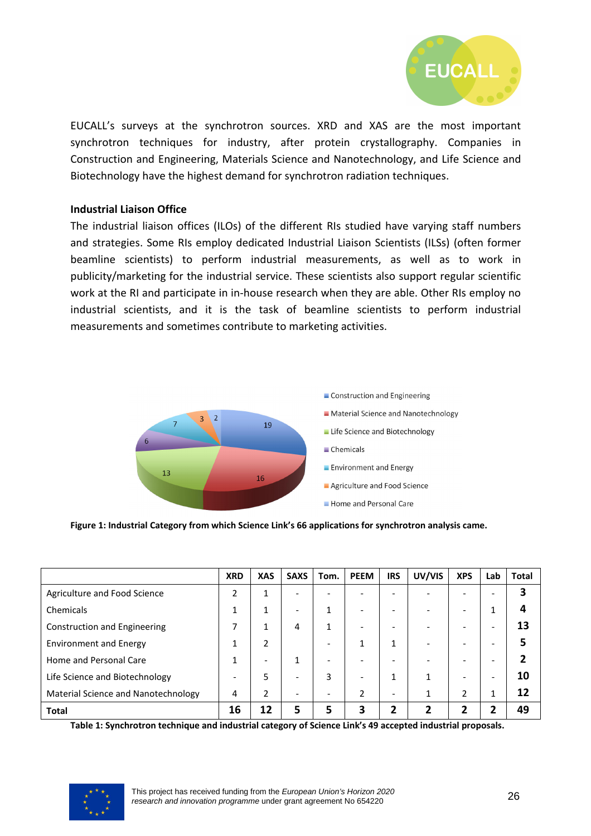

EUCALL's surveys at the synchrotron sources. XRD and XAS are the most important synchrotron techniques for industry, after protein crystallography. Companies in Construction and Engineering, Materials Science and Nanotechnology, and Life Science and Biotechnology have the highest demand for synchrotron radiation techniques.

#### **Industrial Liaison Office**

The industrial liaison offices (ILOs) of the different RIs studied have varying staff numbers and strategies. Some RIs employ dedicated Industrial Liaison Scientists (ILSs) (often former beamline scientists) to perform industrial measurements, as well as to work in publicity/marketing for the industrial service. These scientists also support regular scientific work at the RI and participate in in-house research when they are able. Other RIs employ no industrial scientists, and it is the task of beamline scientists to perform industrial measurements and sometimes contribute to marketing activities.



**Figure 1: Industrial Category from which Science Link's 66 applications for synchrotron analysis came.** 

|                                     | <b>XRD</b> | <b>XAS</b>    | <b>SAXS</b>                  | Tom.                         | <b>PEEM</b> | <b>IRS</b>               | UV/VIS | <b>XPS</b>                   | Lab | <b>Total</b> |
|-------------------------------------|------------|---------------|------------------------------|------------------------------|-------------|--------------------------|--------|------------------------------|-----|--------------|
| Agriculture and Food Science        | ำ          | 1             | $\overline{\phantom{0}}$     |                              |             |                          |        | -                            |     |              |
| Chemicals                           |            |               | $\overline{\phantom{a}}$     |                              |             |                          |        | $\qquad \qquad \blacksquare$ | 1   |              |
| <b>Construction and Engineering</b> |            | 1             | 4                            | 1                            |             |                          |        | $\overline{\phantom{0}}$     |     |              |
| <b>Environment and Energy</b>       |            | $\mathfrak z$ |                              |                              | 1           | $\mathbf{1}$             |        | -                            |     |              |
| Home and Personal Care              |            |               | 1                            |                              |             |                          |        | -                            |     |              |
| Life Science and Biotechnology      |            | 5             | $\qquad \qquad \blacksquare$ | 3                            |             | 1                        |        | -                            | -   | 10           |
| Material Science and Nanotechnology | 4          | 2             | $\overline{\phantom{a}}$     | $\qquad \qquad \blacksquare$ | 2           | $\overline{\phantom{a}}$ |        | 2                            | 1   |              |
| <b>Total</b>                        | 16         | 12            | 5                            |                              | 3           | 2                        | 7      |                              | ־   | ла           |

**Table 1: Synchrotron technique and industrial category of Science Link's 49 accepted industrial proposals.**

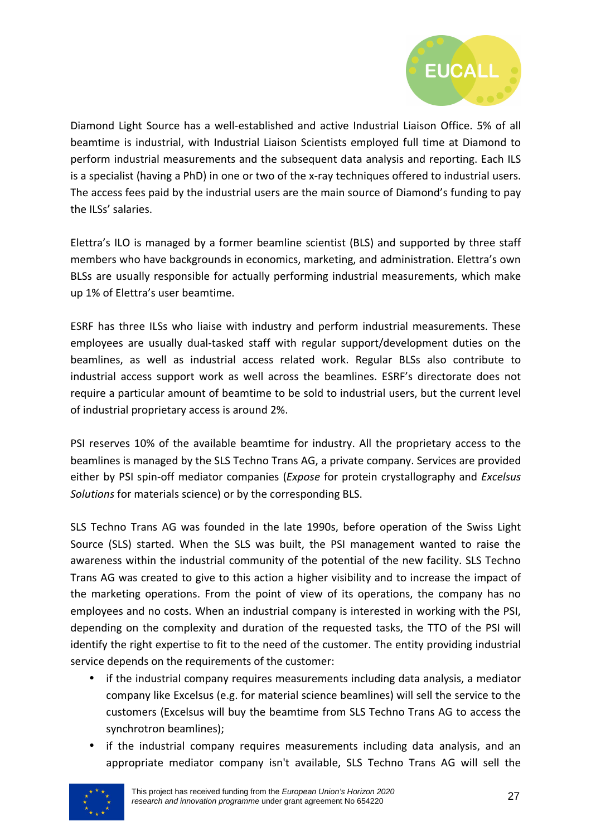

Diamond Light Source has a well-established and active Industrial Liaison Office. 5% of all beamtime is industrial, with Industrial Liaison Scientists employed full time at Diamond to perform industrial measurements and the subsequent data analysis and reporting. Each ILS is a specialist (having a PhD) in one or two of the x-ray techniques offered to industrial users. The access fees paid by the industrial users are the main source of Diamond's funding to pay the ILSs' salaries.

Elettra's ILO is managed by a former beamline scientist (BLS) and supported by three staff members who have backgrounds in economics, marketing, and administration. Elettra's own BLSs are usually responsible for actually performing industrial measurements, which make up 1% of Elettra's user beamtime.

ESRF has three ILSs who liaise with industry and perform industrial measurements. These employees are usually dual-tasked staff with regular support/development duties on the beamlines, as well as industrial access related work. Regular BLSs also contribute to industrial access support work as well across the beamlines. ESRF's directorate does not require a particular amount of beamtime to be sold to industrial users, but the current level of industrial proprietary access is around 2%.

PSI reserves 10% of the available beamtime for industry. All the proprietary access to the beamlines is managed by the SLS Techno Trans AG, a private company. Services are provided either by PSI spin-off mediator companies (*Expose* for protein crystallography and *Excelsus Solutions* for materials science) or by the corresponding BLS.

SLS Techno Trans AG was founded in the late 1990s, before operation of the Swiss Light Source (SLS) started. When the SLS was built, the PSI management wanted to raise the awareness within the industrial community of the potential of the new facility. SLS Techno Trans AG was created to give to this action a higher visibility and to increase the impact of the marketing operations. From the point of view of its operations, the company has no employees and no costs. When an industrial company is interested in working with the PSI, depending on the complexity and duration of the requested tasks, the TTO of the PSI will identify the right expertise to fit to the need of the customer. The entity providing industrial service depends on the requirements of the customer:

- if the industrial company requires measurements including data analysis, a mediator company like Excelsus (e.g. for material science beamlines) will sell the service to the customers (Excelsus will buy the beamtime from SLS Techno Trans AG to access the synchrotron beamlines);
- if the industrial company requires measurements including data analysis, and an appropriate mediator company isn't available, SLS Techno Trans AG will sell the

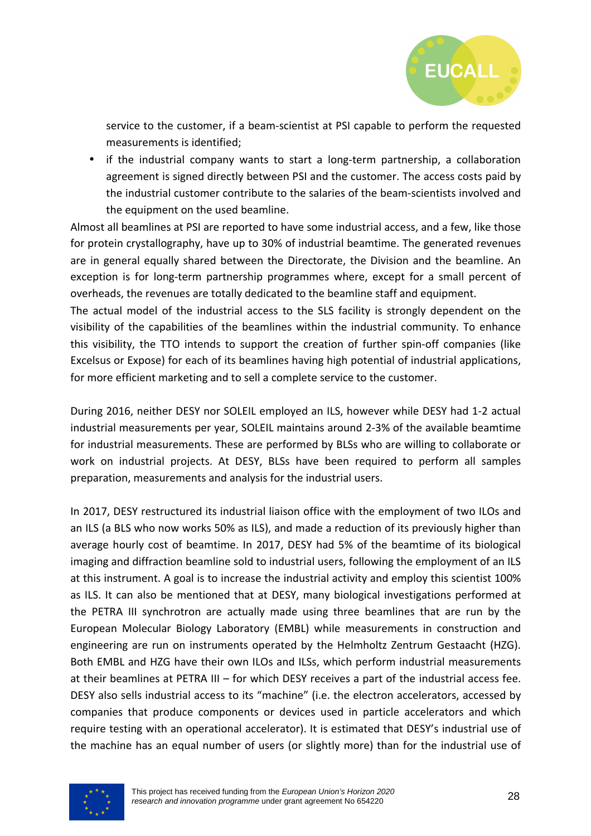

service to the customer, if a beam-scientist at PSI capable to perform the requested measurements is identified;

• if the industrial company wants to start a long-term partnership, a collaboration agreement is signed directly between PSI and the customer. The access costs paid by the industrial customer contribute to the salaries of the beam-scientists involved and the equipment on the used beamline.

Almost all beamlines at PSI are reported to have some industrial access, and a few, like those for protein crystallography, have up to 30% of industrial beamtime. The generated revenues are in general equally shared between the Directorate, the Division and the beamline. An exception is for long-term partnership programmes where, except for a small percent of overheads, the revenues are totally dedicated to the beamline staff and equipment.

The actual model of the industrial access to the SLS facility is strongly dependent on the visibility of the capabilities of the beamlines within the industrial community. To enhance this visibility, the TTO intends to support the creation of further spin-off companies (like Excelsus or Expose) for each of its beamlines having high potential of industrial applications, for more efficient marketing and to sell a complete service to the customer.

During 2016, neither DESY nor SOLEIL employed an ILS, however while DESY had 1-2 actual industrial measurements per year, SOLEIL maintains around 2-3% of the available beamtime for industrial measurements. These are performed by BLSs who are willing to collaborate or work on industrial projects. At DESY, BLSs have been required to perform all samples preparation, measurements and analysis for the industrial users.

In 2017, DESY restructured its industrial liaison office with the employment of two ILOs and an ILS (a BLS who now works 50% as ILS), and made a reduction of its previously higher than average hourly cost of beamtime. In 2017, DESY had 5% of the beamtime of its biological imaging and diffraction beamline sold to industrial users, following the employment of an ILS at this instrument. A goal is to increase the industrial activity and employ this scientist 100% as ILS. It can also be mentioned that at DESY, many biological investigations performed at the PETRA III synchrotron are actually made using three beamlines that are run by the European Molecular Biology Laboratory (EMBL) while measurements in construction and engineering are run on instruments operated by the Helmholtz Zentrum Gestaacht (HZG). Both EMBL and HZG have their own ILOs and ILSs, which perform industrial measurements at their beamlines at PETRA III – for which DESY receives a part of the industrial access fee. DESY also sells industrial access to its "machine" (i.e. the electron accelerators, accessed by companies that produce components or devices used in particle accelerators and which require testing with an operational accelerator). It is estimated that DESY's industrial use of the machine has an equal number of users (or slightly more) than for the industrial use of

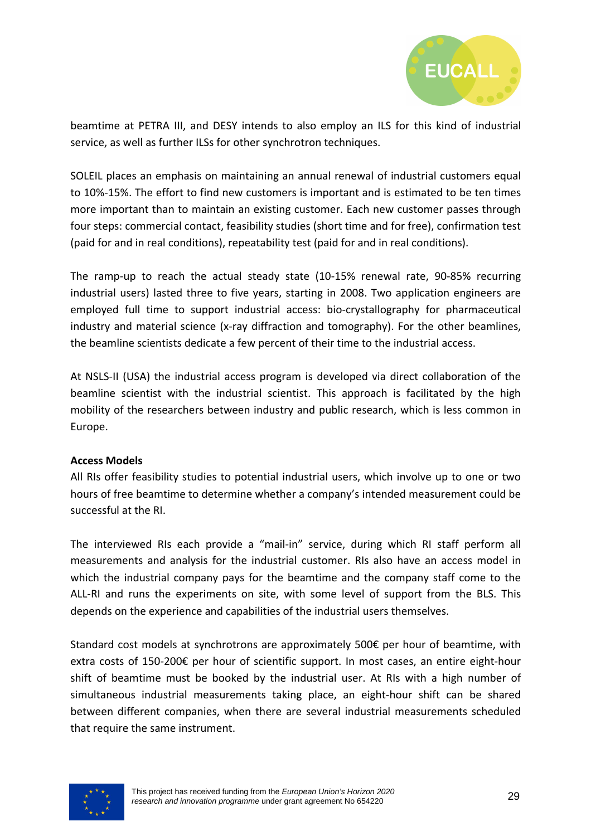

beamtime at PETRA III, and DESY intends to also employ an ILS for this kind of industrial service, as well as further ILSs for other synchrotron techniques.

SOLEIL places an emphasis on maintaining an annual renewal of industrial customers equal to 10%-15%. The effort to find new customers is important and is estimated to be ten times more important than to maintain an existing customer. Each new customer passes through four steps: commercial contact, feasibility studies (short time and for free), confirmation test (paid for and in real conditions), repeatability test (paid for and in real conditions).

The ramp-up to reach the actual steady state (10-15% renewal rate, 90-85% recurring industrial users) lasted three to five years, starting in 2008. Two application engineers are employed full time to support industrial access: bio-crystallography for pharmaceutical industry and material science (x-ray diffraction and tomography). For the other beamlines, the beamline scientists dedicate a few percent of their time to the industrial access.

At NSLS-II (USA) the industrial access program is developed via direct collaboration of the beamline scientist with the industrial scientist. This approach is facilitated by the high mobility of the researchers between industry and public research, which is less common in Europe.

#### **Access Models**

All RIs offer feasibility studies to potential industrial users, which involve up to one or two hours of free beamtime to determine whether a company's intended measurement could be successful at the RI.

The interviewed RIs each provide a "mail-in" service, during which RI staff perform all measurements and analysis for the industrial customer. RIs also have an access model in which the industrial company pays for the beamtime and the company staff come to the ALL-RI and runs the experiments on site, with some level of support from the BLS. This depends on the experience and capabilities of the industrial users themselves.

Standard cost models at synchrotrons are approximately 500€ per hour of beamtime, with extra costs of 150-200€ per hour of scientific support. In most cases, an entire eight-hour shift of beamtime must be booked by the industrial user. At RIs with a high number of simultaneous industrial measurements taking place, an eight-hour shift can be shared between different companies, when there are several industrial measurements scheduled that require the same instrument.

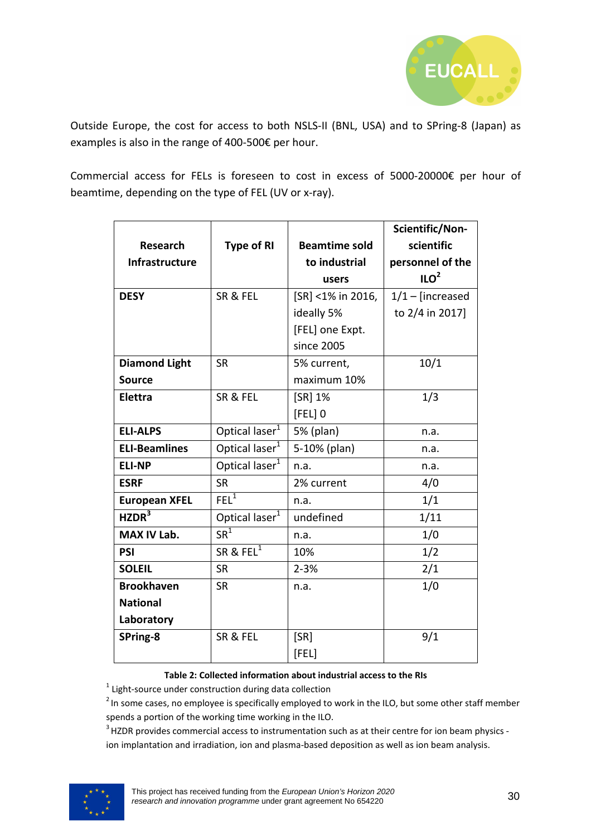

Outside Europe, the cost for access to both NSLS-II (BNL, USA) and to SPring-8 (Japan) as examples is also in the range of 400-500€ per hour.

Commercial access for FELs is foreseen to cost in excess of 5000-20000€ per hour of beamtime, depending on the type of FEL (UV or x-ray).

|                      |                            |                      | Scientific/Non-    |
|----------------------|----------------------------|----------------------|--------------------|
| <b>Research</b>      | <b>Type of RI</b>          | <b>Beamtime sold</b> | scientific         |
| Infrastructure       |                            | to industrial        | personnel of the   |
|                      |                            | users                | ILO <sup>2</sup>   |
| <b>DESY</b>          | SR & FEL                   | [SR] <1% in 2016,    | $1/1$ – [increased |
|                      |                            | ideally 5%           | to 2/4 in 2017]    |
|                      |                            | [FEL] one Expt.      |                    |
|                      |                            | since 2005           |                    |
| <b>Diamond Light</b> | <b>SR</b>                  | 5% current,          | 10/1               |
| <b>Source</b>        |                            | maximum 10%          |                    |
| Elettra              | SR & FEL                   | [SR] 1%              | 1/3                |
|                      |                            | $[FEL]$ <sup>0</sup> |                    |
| <b>ELI-ALPS</b>      | Optical laser <sup>1</sup> | 5% (plan)            | n.a.               |
| <b>ELI-Beamlines</b> | Optical laser <sup>1</sup> | 5-10% (plan)         | n.a.               |
| <b>ELI-NP</b>        | Optical laser <sup>1</sup> | n.a.                 | n.a.               |
| <b>ESRF</b>          | <b>SR</b>                  | 2% current           | 4/0                |
| <b>European XFEL</b> | $FEL^1$                    | n.a.                 | 1/1                |
| HZDR <sup>3</sup>    | Optical laser <sup>1</sup> | undefined            | 1/11               |
| MAX IV Lab.          | $SR^1$                     | n.a.                 | 1/0                |
| <b>PSI</b>           | SR & FEL $\overline{1}$    | 10%                  | 1/2                |
| <b>SOLEIL</b>        | <b>SR</b>                  | $2 - 3%$             | 2/1                |
| <b>Brookhaven</b>    | <b>SR</b>                  | n.a.                 | 1/0                |
| <b>National</b>      |                            |                      |                    |
| Laboratory           |                            |                      |                    |
| SPring-8             | SR & FEL                   | [SR]                 | 9/1                |
|                      |                            | [FEL]                |                    |

#### **Table 2: Collected information about industrial access to the RIs**

 $1$  Light-source under construction during data collection

<sup>2</sup> In some cases, no employee is specifically employed to work in the ILO, but some other staff member spends a portion of the working time working in the ILO.

<sup>3</sup> HZDR provides commercial access to instrumentation such as at their centre for ion beam physics ion implantation and irradiation, ion and plasma-based deposition as well as ion beam analysis.

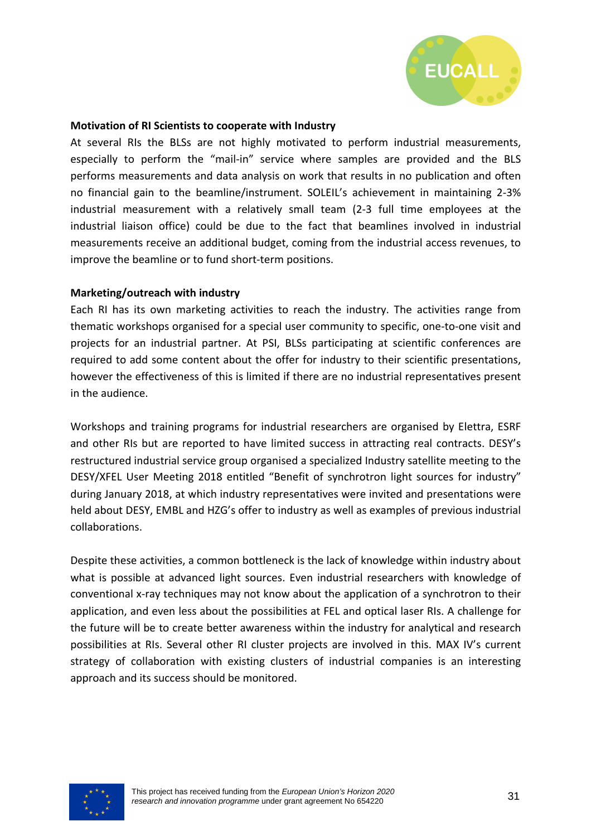

#### **Motivation of RI Scientists to cooperate with Industry**

At several RIs the BLSs are not highly motivated to perform industrial measurements, especially to perform the "mail-in" service where samples are provided and the BLS performs measurements and data analysis on work that results in no publication and often no financial gain to the beamline/instrument. SOLEIL's achievement in maintaining 2-3% industrial measurement with a relatively small team (2-3 full time employees at the industrial liaison office) could be due to the fact that beamlines involved in industrial measurements receive an additional budget, coming from the industrial access revenues, to improve the beamline or to fund short-term positions.

#### **Marketing/outreach with industry**

Each RI has its own marketing activities to reach the industry. The activities range from thematic workshops organised for a special user community to specific, one-to-one visit and projects for an industrial partner. At PSI, BLSs participating at scientific conferences are required to add some content about the offer for industry to their scientific presentations, however the effectiveness of this is limited if there are no industrial representatives present in the audience.

Workshops and training programs for industrial researchers are organised by Elettra, ESRF and other RIs but are reported to have limited success in attracting real contracts. DESY's restructured industrial service group organised a specialized Industry satellite meeting to the DESY/XFEL User Meeting 2018 entitled "Benefit of synchrotron light sources for industry" during January 2018, at which industry representatives were invited and presentations were held about DESY, EMBL and HZG's offer to industry as well as examples of previous industrial collaborations.

Despite these activities, a common bottleneck is the lack of knowledge within industry about what is possible at advanced light sources. Even industrial researchers with knowledge of conventional x-ray techniques may not know about the application of a synchrotron to their application, and even less about the possibilities at FEL and optical laser RIs. A challenge for the future will be to create better awareness within the industry for analytical and research possibilities at RIs. Several other RI cluster projects are involved in this. MAX IV's current strategy of collaboration with existing clusters of industrial companies is an interesting approach and its success should be monitored.

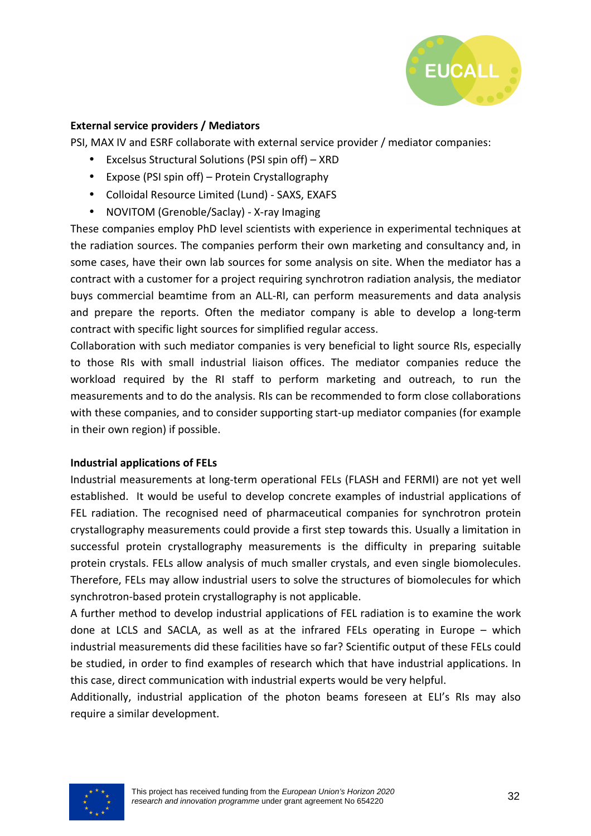

#### **External service providers / Mediators**

PSI, MAX IV and ESRF collaborate with external service provider / mediator companies:

- Excelsus Structural Solutions (PSI spin off) XRD
- Expose (PSI spin off) Protein Crystallography
- Colloidal Resource Limited (Lund) SAXS, EXAFS
- NOVITOM (Grenoble/Saclay) X-ray Imaging

These companies employ PhD level scientists with experience in experimental techniques at the radiation sources. The companies perform their own marketing and consultancy and, in some cases, have their own lab sources for some analysis on site. When the mediator has a contract with a customer for a project requiring synchrotron radiation analysis, the mediator buys commercial beamtime from an ALL-RI, can perform measurements and data analysis and prepare the reports. Often the mediator company is able to develop a long-term contract with specific light sources for simplified regular access.

Collaboration with such mediator companies is very beneficial to light source RIs, especially to those RIs with small industrial liaison offices. The mediator companies reduce the workload required by the RI staff to perform marketing and outreach, to run the measurements and to do the analysis. RIs can be recommended to form close collaborations with these companies, and to consider supporting start-up mediator companies (for example in their own region) if possible.

#### **Industrial applications of FELs**

Industrial measurements at long-term operational FELs (FLASH and FERMI) are not yet well established. It would be useful to develop concrete examples of industrial applications of FEL radiation. The recognised need of pharmaceutical companies for synchrotron protein crystallography measurements could provide a first step towards this. Usually a limitation in successful protein crystallography measurements is the difficulty in preparing suitable protein crystals. FELs allow analysis of much smaller crystals, and even single biomolecules. Therefore, FELs may allow industrial users to solve the structures of biomolecules for which synchrotron-based protein crystallography is not applicable.

A further method to develop industrial applications of FEL radiation is to examine the work done at LCLS and SACLA, as well as at the infrared FELs operating in Europe – which industrial measurements did these facilities have so far? Scientific output of these FELs could be studied, in order to find examples of research which that have industrial applications. In this case, direct communication with industrial experts would be very helpful.

Additionally, industrial application of the photon beams foreseen at ELI's RIs may also require a similar development.

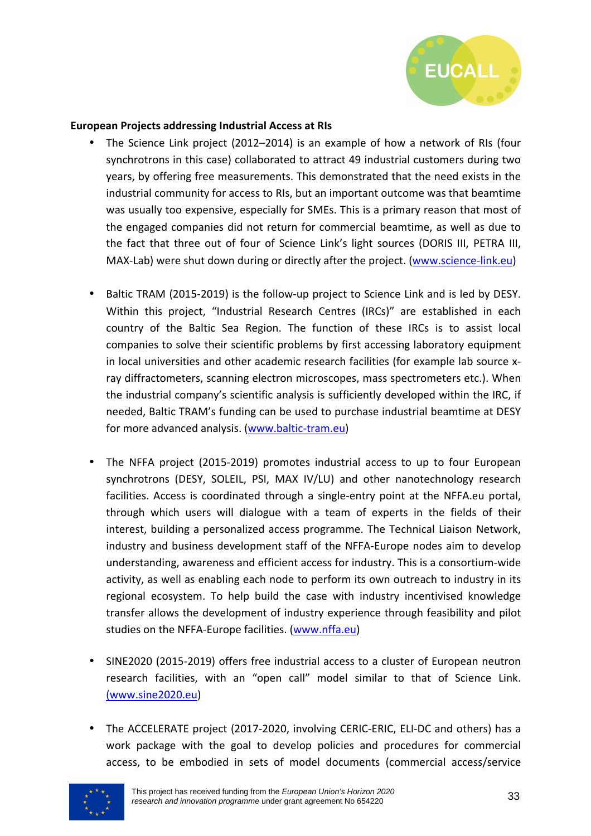

#### **European Projects addressing Industrial Access at RIs**

- The Science Link project (2012–2014) is an example of how a network of RIs (four synchrotrons in this case) collaborated to attract 49 industrial customers during two years, by offering free measurements. This demonstrated that the need exists in the industrial community for access to RIs, but an important outcome was that beamtime was usually too expensive, especially for SMEs. This is a primary reason that most of the engaged companies did not return for commercial beamtime, as well as due to the fact that three out of four of Science Link's light sources (DORIS III, PETRA III, MAX-Lab) were shut down during or directly after the project. (www.science-link.eu)
- Baltic TRAM (2015-2019) is the follow-up project to Science Link and is led by DESY. Within this project, "Industrial Research Centres (IRCs)" are established in each country of the Baltic Sea Region. The function of these IRCs is to assist local companies to solve their scientific problems by first accessing laboratory equipment in local universities and other academic research facilities (for example lab source xray diffractometers, scanning electron microscopes, mass spectrometers etc.). When the industrial company's scientific analysis is sufficiently developed within the IRC, if needed, Baltic TRAM's funding can be used to purchase industrial beamtime at DESY for more advanced analysis. (www.baltic-tram.eu)
- The NFFA project (2015-2019) promotes industrial access to up to four European synchrotrons (DESY, SOLEIL, PSI, MAX IV/LU) and other nanotechnology research facilities. Access is coordinated through a single-entry point at the NFFA.eu portal, through which users will dialogue with a team of experts in the fields of their interest, building a personalized access programme. The Technical Liaison Network, industry and business development staff of the NFFA-Europe nodes aim to develop understanding, awareness and efficient access for industry. This is a consortium-wide activity, as well as enabling each node to perform its own outreach to industry in its regional ecosystem. To help build the case with industry incentivised knowledge transfer allows the development of industry experience through feasibility and pilot studies on the NFFA-Europe facilities. (www.nffa.eu)
- SINE2020 (2015-2019) offers free industrial access to a cluster of European neutron research facilities, with an "open call" model similar to that of Science Link. (www.sine2020.eu)
- The ACCELERATE project (2017-2020, involving CERIC-ERIC, ELI-DC and others) has a work package with the goal to develop policies and procedures for commercial access, to be embodied in sets of model documents (commercial access/service

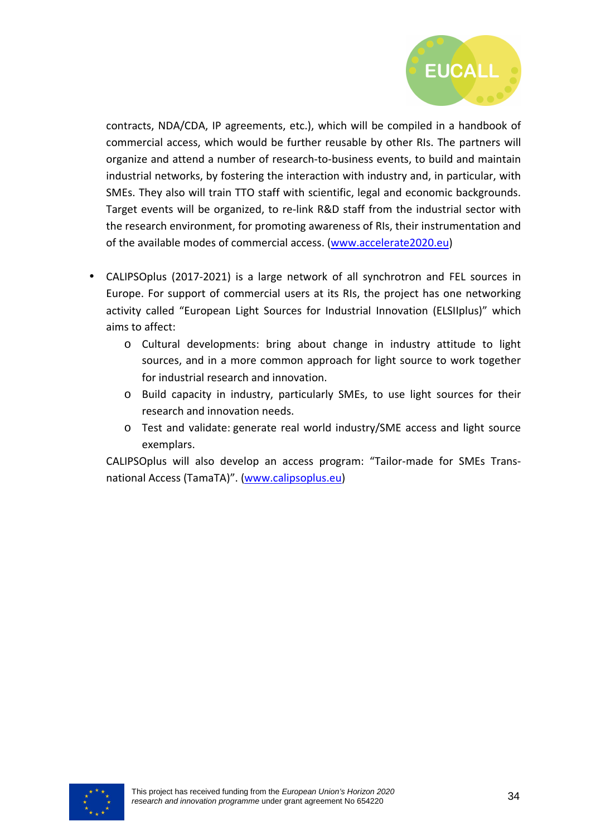

contracts, NDA/CDA, IP agreements, etc.), which will be compiled in a handbook of commercial access, which would be further reusable by other RIs. The partners will organize and attend a number of research-to-business events, to build and maintain industrial networks, by fostering the interaction with industry and, in particular, with SMEs. They also will train TTO staff with scientific, legal and economic backgrounds. Target events will be organized, to re-link R&D staff from the industrial sector with the research environment, for promoting awareness of RIs, their instrumentation and of the available modes of commercial access. (www.accelerate2020.eu)

- CALIPSOplus (2017-2021) is a large network of all synchrotron and FEL sources in Europe. For support of commercial users at its RIs, the project has one networking activity called "European Light Sources for Industrial Innovation (ELSIIplus)" which aims to affect:
	- o Cultural developments: bring about change in industry attitude to light sources, and in a more common approach for light source to work together for industrial research and innovation.
	- o Build capacity in industry, particularly SMEs, to use light sources for their research and innovation needs.
	- o Test and validate: generate real world industry/SME access and light source exemplars.

CALIPSOplus will also develop an access program: "Tailor-made for SMEs Transnational Access (TamaTA)". (www.calipsoplus.eu)

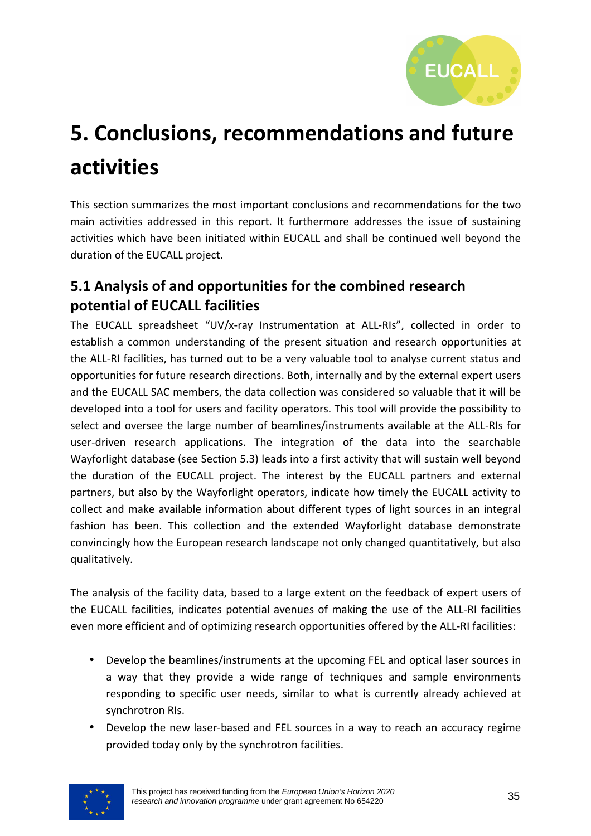

# **5. Conclusions, recommendations and future activities**

This section summarizes the most important conclusions and recommendations for the two main activities addressed in this report. It furthermore addresses the issue of sustaining activities which have been initiated within EUCALL and shall be continued well beyond the duration of the EUCALL project.

## **5.1 Analysis of and opportunities for the combined research potential of EUCALL facilities**

The EUCALL spreadsheet "UV/x-ray Instrumentation at ALL-RIs", collected in order to establish a common understanding of the present situation and research opportunities at the ALL-RI facilities, has turned out to be a very valuable tool to analyse current status and opportunities for future research directions. Both, internally and by the external expert users and the EUCALL SAC members, the data collection was considered so valuable that it will be developed into a tool for users and facility operators. This tool will provide the possibility to select and oversee the large number of beamlines/instruments available at the ALL-RIs for user-driven research applications. The integration of the data into the searchable Wayforlight database (see Section 5.3) leads into a first activity that will sustain well beyond the duration of the EUCALL project. The interest by the EUCALL partners and external partners, but also by the Wayforlight operators, indicate how timely the EUCALL activity to collect and make available information about different types of light sources in an integral fashion has been. This collection and the extended Wayforlight database demonstrate convincingly how the European research landscape not only changed quantitatively, but also qualitatively.

The analysis of the facility data, based to a large extent on the feedback of expert users of the EUCALL facilities, indicates potential avenues of making the use of the ALL-RI facilities even more efficient and of optimizing research opportunities offered by the ALL-RI facilities:

- Develop the beamlines/instruments at the upcoming FEL and optical laser sources in a way that they provide a wide range of techniques and sample environments responding to specific user needs, similar to what is currently already achieved at synchrotron RIs.
- Develop the new laser-based and FEL sources in a way to reach an accuracy regime provided today only by the synchrotron facilities.

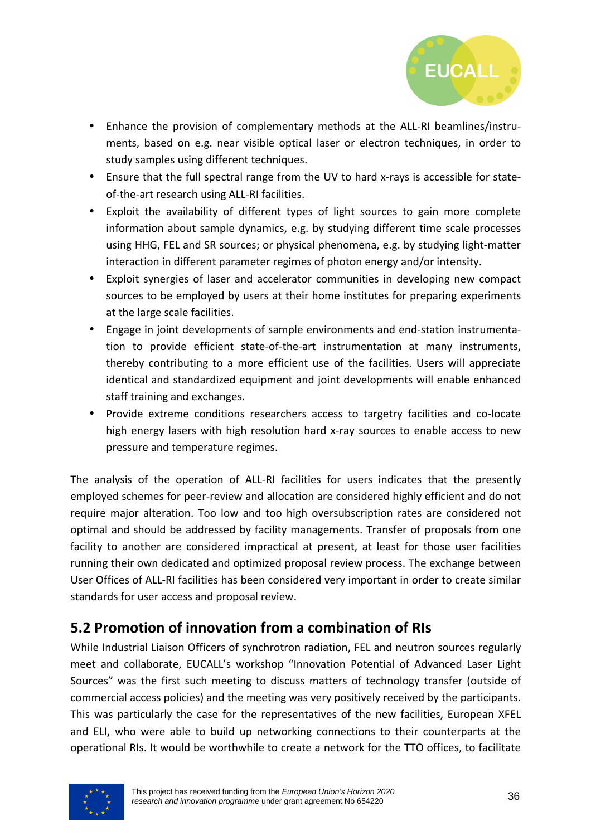

- Enhance the provision of complementary methods at the ALL-RI beamlines/instruments, based on e.g. near visible optical laser or electron techniques, in order to study samples using different techniques.
- Ensure that the full spectral range from the UV to hard x-rays is accessible for stateof-the-art research using ALL-RI facilities.
- Exploit the availability of different types of light sources to gain more complete information about sample dynamics, e.g. by studying different time scale processes using HHG, FEL and SR sources; or physical phenomena, e.g. by studying light-matter interaction in different parameter regimes of photon energy and/or intensity.
- Exploit synergies of laser and accelerator communities in developing new compact sources to be employed by users at their home institutes for preparing experiments at the large scale facilities.
- Engage in joint developments of sample environments and end-station instrumentation to provide efficient state-of-the-art instrumentation at many instruments, thereby contributing to a more efficient use of the facilities. Users will appreciate identical and standardized equipment and joint developments will enable enhanced staff training and exchanges.
- Provide extreme conditions researchers access to targetry facilities and co-locate high energy lasers with high resolution hard x-ray sources to enable access to new pressure and temperature regimes.

The analysis of the operation of ALL-RI facilities for users indicates that the presently employed schemes for peer-review and allocation are considered highly efficient and do not require major alteration. Too low and too high oversubscription rates are considered not optimal and should be addressed by facility managements. Transfer of proposals from one facility to another are considered impractical at present, at least for those user facilities running their own dedicated and optimized proposal review process. The exchange between User Offices of ALL-RI facilities has been considered very important in order to create similar standards for user access and proposal review.

## **5.2 Promotion of innovation from a combination of RIs**

While Industrial Liaison Officers of synchrotron radiation, FEL and neutron sources regularly meet and collaborate, EUCALL's workshop "Innovation Potential of Advanced Laser Light Sources" was the first such meeting to discuss matters of technology transfer (outside of commercial access policies) and the meeting was very positively received by the participants. This was particularly the case for the representatives of the new facilities, European XFEL and ELI, who were able to build up networking connections to their counterparts at the operational RIs. It would be worthwhile to create a network for the TTO offices, to facilitate

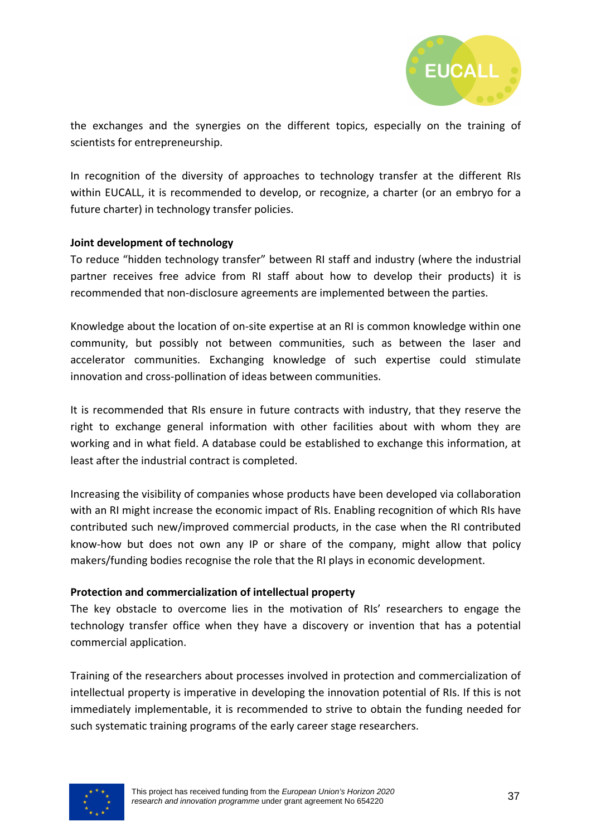

the exchanges and the synergies on the different topics, especially on the training of scientists for entrepreneurship.

In recognition of the diversity of approaches to technology transfer at the different RIs within EUCALL, it is recommended to develop, or recognize, a charter (or an embryo for a future charter) in technology transfer policies.

#### **Joint development of technology**

To reduce "hidden technology transfer" between RI staff and industry (where the industrial partner receives free advice from RI staff about how to develop their products) it is recommended that non-disclosure agreements are implemented between the parties.

Knowledge about the location of on-site expertise at an RI is common knowledge within one community, but possibly not between communities, such as between the laser and accelerator communities. Exchanging knowledge of such expertise could stimulate innovation and cross-pollination of ideas between communities.

It is recommended that RIs ensure in future contracts with industry, that they reserve the right to exchange general information with other facilities about with whom they are working and in what field. A database could be established to exchange this information, at least after the industrial contract is completed.

Increasing the visibility of companies whose products have been developed via collaboration with an RI might increase the economic impact of RIs. Enabling recognition of which RIs have contributed such new/improved commercial products, in the case when the RI contributed know-how but does not own any IP or share of the company, might allow that policy makers/funding bodies recognise the role that the RI plays in economic development.

#### **Protection and commercialization of intellectual property**

The key obstacle to overcome lies in the motivation of RIs' researchers to engage the technology transfer office when they have a discovery or invention that has a potential commercial application.

Training of the researchers about processes involved in protection and commercialization of intellectual property is imperative in developing the innovation potential of RIs. If this is not immediately implementable, it is recommended to strive to obtain the funding needed for such systematic training programs of the early career stage researchers.

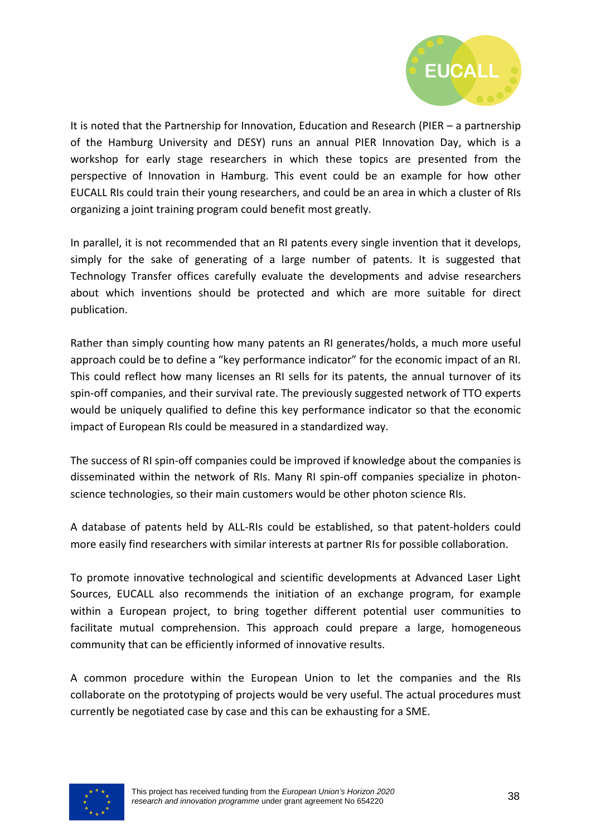

It is noted that the Partnership for Innovation, Education and Research (PIER – a partnership of the Hamburg University and DESY) runs an annual PIER Innovation Day, which is a workshop for early stage researchers in which these topics are presented from the perspective of Innovation in Hamburg. This event could be an example for how other EUCALL RIs could train their young researchers, and could be an area in which a cluster of RIs organizing a joint training program could benefit most greatly.

In parallel, it is not recommended that an RI patents every single invention that it develops, simply for the sake of generating of a large number of patents. It is suggested that Technology Transfer offices carefully evaluate the developments and advise researchers about which inventions should be protected and which are more suitable for direct publication.

Rather than simply counting how many patents an RI generates/holds, a much more useful approach could be to define a "key performance indicator" for the economic impact of an RI. This could reflect how many licenses an RI sells for its patents, the annual turnover of its spin-off companies, and their survival rate. The previously suggested network of TTO experts would be uniquely qualified to define this key performance indicator so that the economic impact of European RIs could be measured in a standardized way.

The success of RI spin-off companies could be improved if knowledge about the companies is disseminated within the network of RIs. Many RI spin-off companies specialize in photonscience technologies, so their main customers would be other photon science RIs.

A database of patents held by ALL-RIs could be established, so that patent-holders could more easily find researchers with similar interests at partner RIs for possible collaboration.

To promote innovative technological and scientific developments at Advanced Laser Light Sources, EUCALL also recommends the initiation of an exchange program, for example within a European project, to bring together different potential user communities to facilitate mutual comprehension. This approach could prepare a large, homogeneous community that can be efficiently informed of innovative results.

A common procedure within the European Union to let the companies and the RIs collaborate on the prototyping of projects would be very useful. The actual procedures must currently be negotiated case by case and this can be exhausting for a SME.

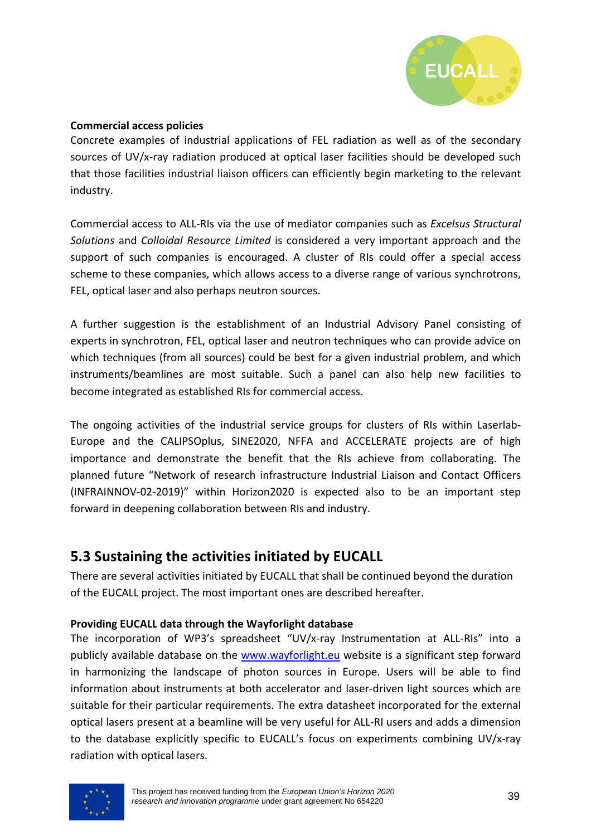

#### **Commercial access policies**

Concrete examples of industrial applications of FEL radiation as well as of the secondary sources of UV/x-ray radiation produced at optical laser facilities should be developed such that those facilities industrial liaison officers can efficiently begin marketing to the relevant industry.

Commercial access to ALL-RIs via the use of mediator companies such as *Excelsus Structural Solutions* and *Colloidal Resource Limited* is considered a very important approach and the support of such companies is encouraged. A cluster of RIs could offer a special access scheme to these companies, which allows access to a diverse range of various synchrotrons, FEL, optical laser and also perhaps neutron sources.

A further suggestion is the establishment of an Industrial Advisory Panel consisting of experts in synchrotron, FEL, optical laser and neutron techniques who can provide advice on which techniques (from all sources) could be best for a given industrial problem, and which instruments/beamlines are most suitable. Such a panel can also help new facilities to become integrated as established RIs for commercial access.

The ongoing activities of the industrial service groups for clusters of RIs within Laserlab-Europe and the CALIPSOplus, SINE2020, NFFA and ACCELERATE projects are of high importance and demonstrate the benefit that the RIs achieve from collaborating. The planned future "Network of research infrastructure Industrial Liaison and Contact Officers (INFRAINNOV-02-2019)" within Horizon2020 is expected also to be an important step forward in deepening collaboration between RIs and industry.

## **5.3 Sustaining the activities initiated by EUCALL**

There are several activities initiated by EUCALL that shall be continued beyond the duration of the EUCALL project. The most important ones are described hereafter.

#### **Providing EUCALL data through the Wayforlight database**

The incorporation of WP3's spreadsheet "UV/x-ray Instrumentation at ALL-RIs" into a publicly available database on the www.wayforlight.eu website is a significant step forward in harmonizing the landscape of photon sources in Europe. Users will be able to find information about instruments at both accelerator and laser-driven light sources which are suitable for their particular requirements. The extra datasheet incorporated for the external optical lasers present at a beamline will be very useful for ALL-RI users and adds a dimension to the database explicitly specific to EUCALL's focus on experiments combining UV/x-ray radiation with optical lasers.

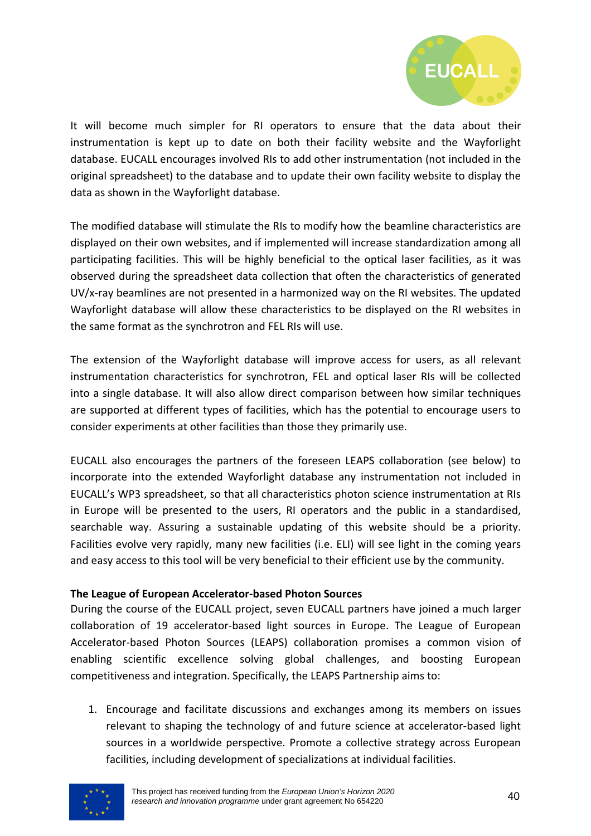

It will become much simpler for RI operators to ensure that the data about their instrumentation is kept up to date on both their facility website and the Wayforlight database. EUCALL encourages involved RIs to add other instrumentation (not included in the original spreadsheet) to the database and to update their own facility website to display the data as shown in the Wayforlight database.

The modified database will stimulate the RIs to modify how the beamline characteristics are displayed on their own websites, and if implemented will increase standardization among all participating facilities. This will be highly beneficial to the optical laser facilities, as it was observed during the spreadsheet data collection that often the characteristics of generated UV/x-ray beamlines are not presented in a harmonized way on the RI websites. The updated Wayforlight database will allow these characteristics to be displayed on the RI websites in the same format as the synchrotron and FEL RIs will use.

The extension of the Wayforlight database will improve access for users, as all relevant instrumentation characteristics for synchrotron, FEL and optical laser RIs will be collected into a single database. It will also allow direct comparison between how similar techniques are supported at different types of facilities, which has the potential to encourage users to consider experiments at other facilities than those they primarily use.

EUCALL also encourages the partners of the foreseen LEAPS collaboration (see below) to incorporate into the extended Wayforlight database any instrumentation not included in EUCALL's WP3 spreadsheet, so that all characteristics photon science instrumentation at RIs in Europe will be presented to the users, RI operators and the public in a standardised, searchable way. Assuring a sustainable updating of this website should be a priority. Facilities evolve very rapidly, many new facilities (i.e. ELI) will see light in the coming years and easy access to this tool will be very beneficial to their efficient use by the community.

#### **The League of European Accelerator-based Photon Sources**

During the course of the EUCALL project, seven EUCALL partners have joined a much larger collaboration of 19 accelerator-based light sources in Europe. The League of European Accelerator-based Photon Sources (LEAPS) collaboration promises a common vision of enabling scientific excellence solving global challenges, and boosting European competitiveness and integration. Specifically, the LEAPS Partnership aims to:

1. Encourage and facilitate discussions and exchanges among its members on issues relevant to shaping the technology of and future science at accelerator-based light sources in a worldwide perspective. Promote a collective strategy across European facilities, including development of specializations at individual facilities.

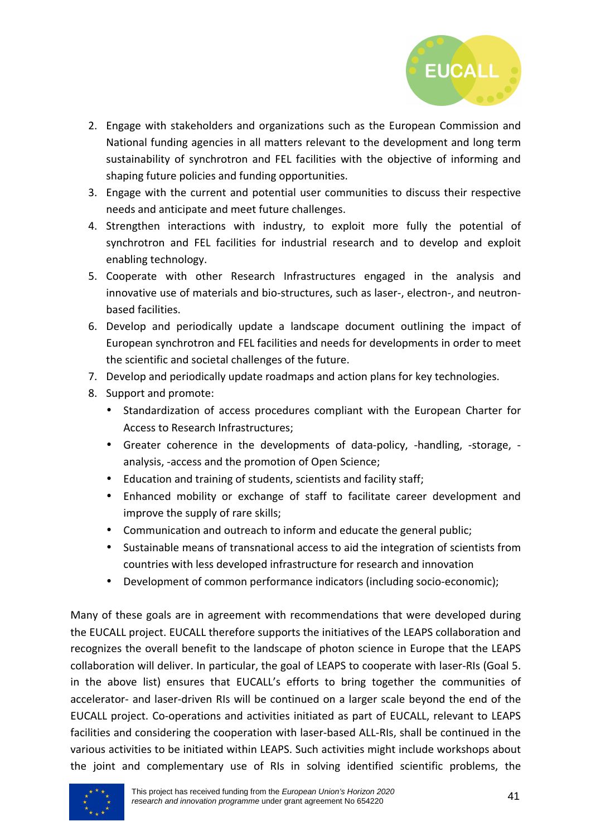

- 2. Engage with stakeholders and organizations such as the European Commission and National funding agencies in all matters relevant to the development and long term sustainability of synchrotron and FEL facilities with the objective of informing and shaping future policies and funding opportunities.
- 3. Engage with the current and potential user communities to discuss their respective needs and anticipate and meet future challenges.
- 4. Strengthen interactions with industry, to exploit more fully the potential of synchrotron and FEL facilities for industrial research and to develop and exploit enabling technology.
- 5. Cooperate with other Research Infrastructures engaged in the analysis and innovative use of materials and bio-structures, such as laser-, electron-, and neutronbased facilities.
- 6. Develop and periodically update a landscape document outlining the impact of European synchrotron and FEL facilities and needs for developments in order to meet the scientific and societal challenges of the future.
- 7. Develop and periodically update roadmaps and action plans for key technologies.
- 8. Support and promote:
	- Standardization of access procedures compliant with the European Charter for Access to Research Infrastructures;
	- Greater coherence in the developments of data-policy, -handling, -storage, analysis, -access and the promotion of Open Science;
	- Education and training of students, scientists and facility staff;
	- Enhanced mobility or exchange of staff to facilitate career development and improve the supply of rare skills;
	- Communication and outreach to inform and educate the general public;
	- Sustainable means of transnational access to aid the integration of scientists from countries with less developed infrastructure for research and innovation
	- Development of common performance indicators (including socio-economic);

Many of these goals are in agreement with recommendations that were developed during the EUCALL project. EUCALL therefore supports the initiatives of the LEAPS collaboration and recognizes the overall benefit to the landscape of photon science in Europe that the LEAPS collaboration will deliver. In particular, the goal of LEAPS to cooperate with laser-RIs (Goal 5. in the above list) ensures that EUCALL's efforts to bring together the communities of accelerator- and laser-driven RIs will be continued on a larger scale beyond the end of the EUCALL project. Co-operations and activities initiated as part of EUCALL, relevant to LEAPS facilities and considering the cooperation with laser-based ALL-RIs, shall be continued in the various activities to be initiated within LEAPS. Such activities might include workshops about the joint and complementary use of RIs in solving identified scientific problems, the

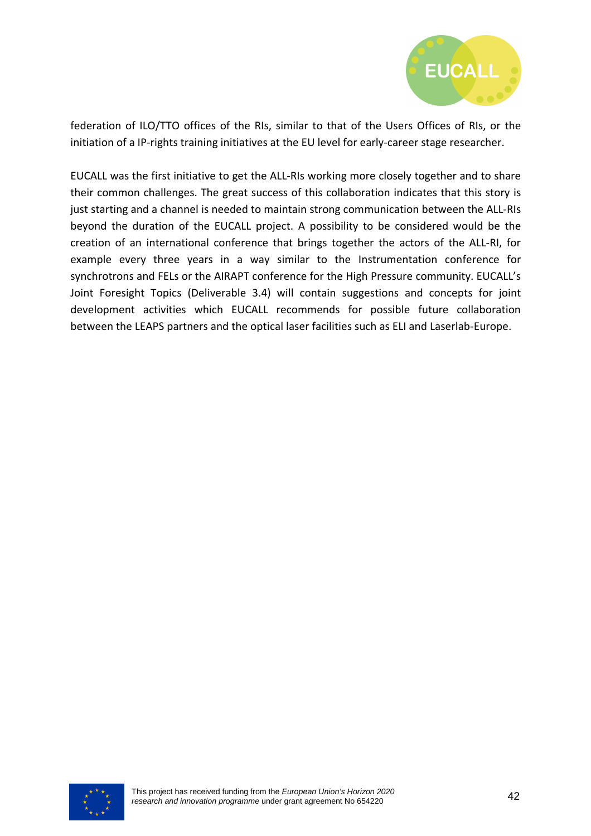

federation of ILO/TTO offices of the RIs, similar to that of the Users Offices of RIs, or the initiation of a IP-rights training initiatives at the EU level for early-career stage researcher.

EUCALL was the first initiative to get the ALL-RIs working more closely together and to share their common challenges. The great success of this collaboration indicates that this story is just starting and a channel is needed to maintain strong communication between the ALL-RIs beyond the duration of the EUCALL project. A possibility to be considered would be the creation of an international conference that brings together the actors of the ALL-RI, for example every three years in a way similar to the Instrumentation conference for synchrotrons and FELs or the AIRAPT conference for the High Pressure community. EUCALL's Joint Foresight Topics (Deliverable 3.4) will contain suggestions and concepts for joint development activities which EUCALL recommends for possible future collaboration between the LEAPS partners and the optical laser facilities such as ELI and Laserlab-Europe.

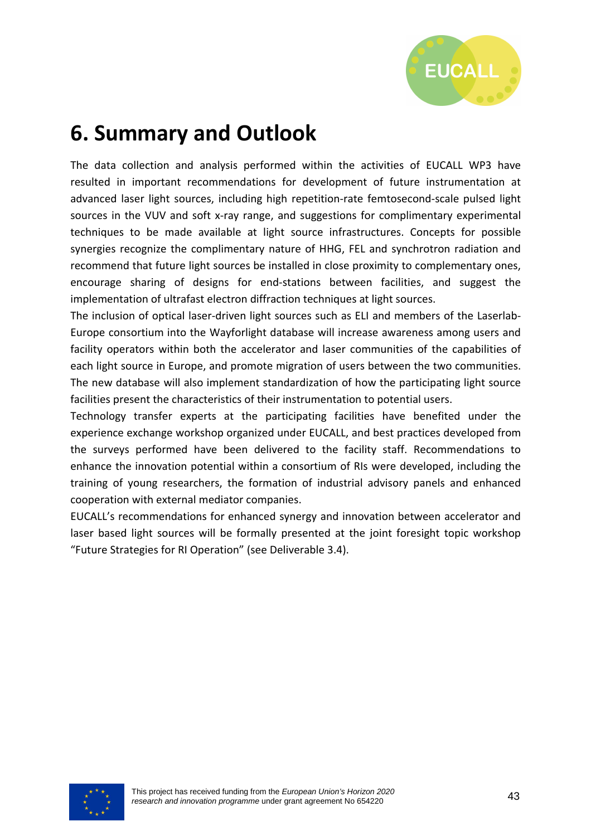

## **6. Summary and Outlook**

The data collection and analysis performed within the activities of EUCALL WP3 have resulted in important recommendations for development of future instrumentation at advanced laser light sources, including high repetition-rate femtosecond-scale pulsed light sources in the VUV and soft x-ray range, and suggestions for complimentary experimental techniques to be made available at light source infrastructures. Concepts for possible synergies recognize the complimentary nature of HHG, FEL and synchrotron radiation and recommend that future light sources be installed in close proximity to complementary ones, encourage sharing of designs for end-stations between facilities, and suggest the implementation of ultrafast electron diffraction techniques at light sources.

The inclusion of optical laser-driven light sources such as ELI and members of the Laserlab-Europe consortium into the Wayforlight database will increase awareness among users and facility operators within both the accelerator and laser communities of the capabilities of each light source in Europe, and promote migration of users between the two communities. The new database will also implement standardization of how the participating light source facilities present the characteristics of their instrumentation to potential users.

Technology transfer experts at the participating facilities have benefited under the experience exchange workshop organized under EUCALL, and best practices developed from the surveys performed have been delivered to the facility staff. Recommendations to enhance the innovation potential within a consortium of RIs were developed, including the training of young researchers, the formation of industrial advisory panels and enhanced cooperation with external mediator companies.

EUCALL's recommendations for enhanced synergy and innovation between accelerator and laser based light sources will be formally presented at the joint foresight topic workshop "Future Strategies for RI Operation" (see Deliverable 3.4).

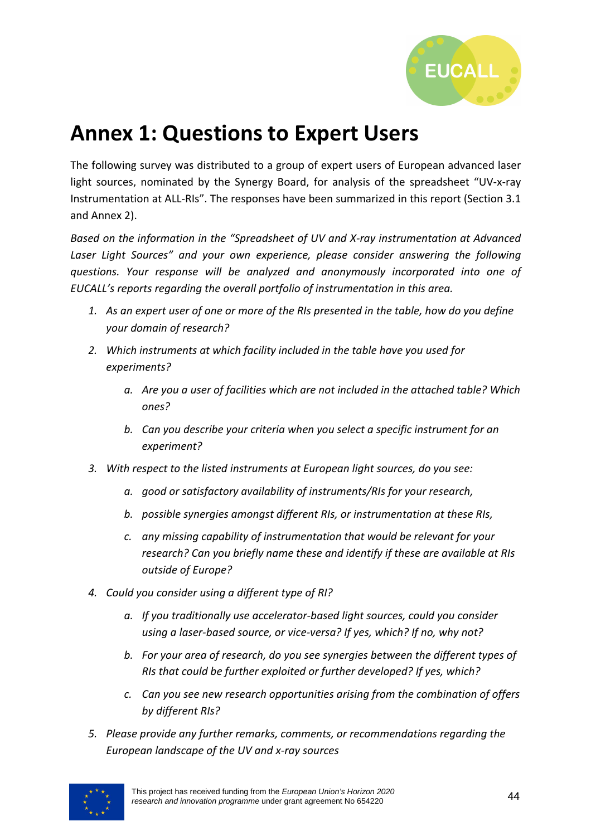

## **Annex 1: Questions to Expert Users**

The following survey was distributed to a group of expert users of European advanced laser light sources, nominated by the Synergy Board, for analysis of the spreadsheet "UV-x-ray Instrumentation at ALL-RIs". The responses have been summarized in this report (Section 3.1 and Annex 2).

*Based on the information in the "Spreadsheet of UV and X-ray instrumentation at Advanced*  Laser Light Sources" and your own experience, please consider answering the following *questions. Your response will be analyzed and anonymously incorporated into one of EUCALL's reports regarding the overall portfolio of instrumentation in this area.* 

- *1. As an expert user of one or more of the RIs presented in the table, how do you define your domain of research?*
- *2. Which instruments at which facility included in the table have you used for experiments?* 
	- *a. Are you a user of facilities which are not included in the attached table? Which ones?*
	- *b. Can you describe your criteria when you select a specific instrument for an experiment?*
- *3. With respect to the listed instruments at European light sources, do you see:* 
	- *a. good or satisfactory availability of instruments/RIs for your research,*
	- *b. possible synergies amongst different RIs, or instrumentation at these RIs,*
	- *c. any missing capability of instrumentation that would be relevant for your research? Can you briefly name these and identify if these are available at RIs outside of Europe?*
- *4. Could you consider using a different type of RI?* 
	- *a. If you traditionally use accelerator-based light sources, could you consider using a laser-based source, or vice-versa? If yes, which? If no, why not?*
	- *b. For your area of research, do you see synergies between the different types of RIs that could be further exploited or further developed? If yes, which?*
	- *c. Can you see new research opportunities arising from the combination of offers by different RIs?*
- *5. Please provide any further remarks, comments, or recommendations regarding the European landscape of the UV and x-ray sources*

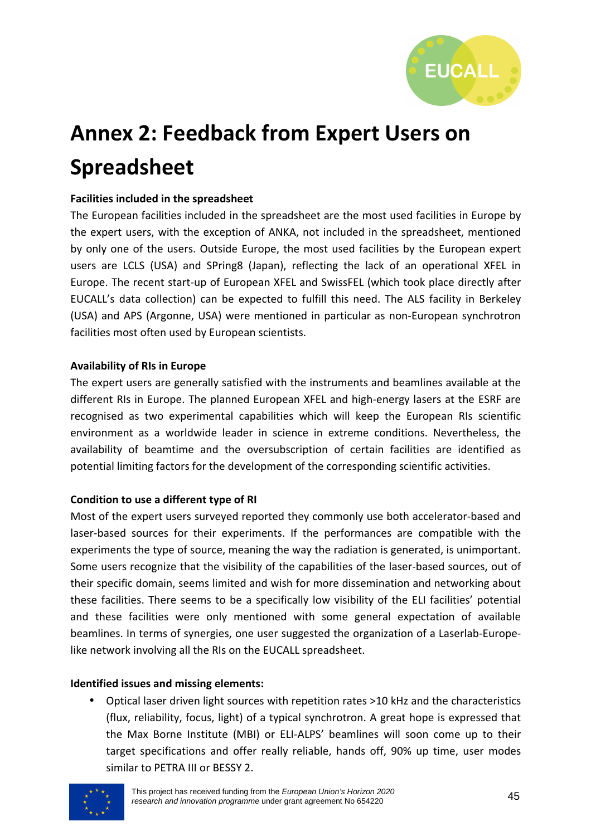

# **Annex 2: Feedback from Expert Users on Spreadsheet**

#### **Facilities included in the spreadsheet**

The European facilities included in the spreadsheet are the most used facilities in Europe by the expert users, with the exception of ANKA, not included in the spreadsheet, mentioned by only one of the users. Outside Europe, the most used facilities by the European expert users are LCLS (USA) and SPring8 (Japan), reflecting the lack of an operational XFEL in Europe. The recent start-up of European XFEL and SwissFEL (which took place directly after EUCALL's data collection) can be expected to fulfill this need. The ALS facility in Berkeley (USA) and APS (Argonne, USA) were mentioned in particular as non-European synchrotron facilities most often used by European scientists.

#### **Availability of RIs in Europe**

The expert users are generally satisfied with the instruments and beamlines available at the different RIs in Europe. The planned European XFEL and high-energy lasers at the ESRF are recognised as two experimental capabilities which will keep the European RIs scientific environment as a worldwide leader in science in extreme conditions. Nevertheless, the availability of beamtime and the oversubscription of certain facilities are identified as potential limiting factors for the development of the corresponding scientific activities.

#### **Condition to use a different type of RI**

Most of the expert users surveyed reported they commonly use both accelerator-based and laser-based sources for their experiments. If the performances are compatible with the experiments the type of source, meaning the way the radiation is generated, is unimportant. Some users recognize that the visibility of the capabilities of the laser-based sources, out of their specific domain, seems limited and wish for more dissemination and networking about these facilities. There seems to be a specifically low visibility of the ELI facilities' potential and these facilities were only mentioned with some general expectation of available beamlines. In terms of synergies, one user suggested the organization of a Laserlab-Europelike network involving all the RIs on the EUCALL spreadsheet.

#### **Identified issues and missing elements:**

• Optical laser driven light sources with repetition rates >10 kHz and the characteristics (flux, reliability, focus, light) of a typical synchrotron. A great hope is expressed that the Max Borne Institute (MBI) or ELI-ALPS' beamlines will soon come up to their target specifications and offer really reliable, hands off, 90% up time, user modes similar to PETRA III or BESSY 2.

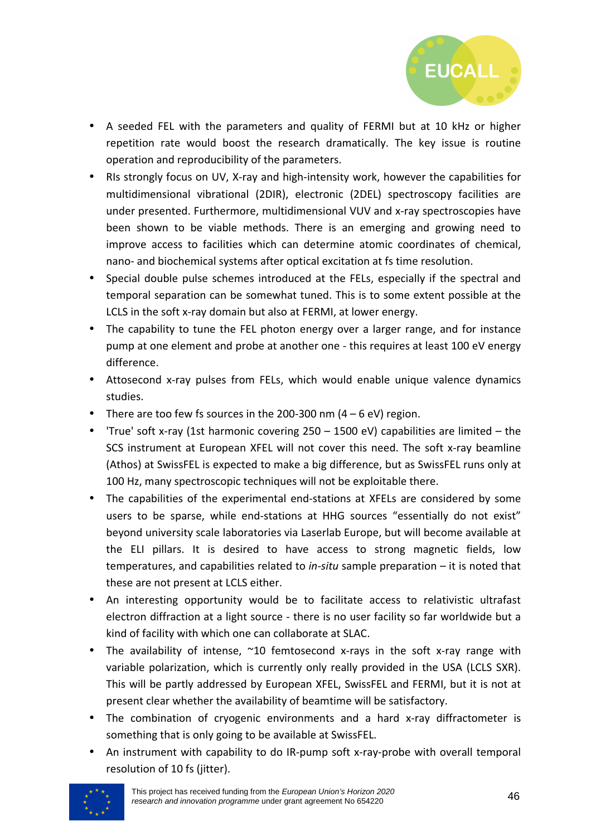

- A seeded FEL with the parameters and quality of FERMI but at 10 kHz or higher repetition rate would boost the research dramatically. The key issue is routine operation and reproducibility of the parameters.
- RIs strongly focus on UV, X-ray and high-intensity work, however the capabilities for multidimensional vibrational (2DIR), electronic (2DEL) spectroscopy facilities are under presented. Furthermore, multidimensional VUV and x-ray spectroscopies have been shown to be viable methods. There is an emerging and growing need to improve access to facilities which can determine atomic coordinates of chemical, nano- and biochemical systems after optical excitation at fs time resolution.
- Special double pulse schemes introduced at the FELs, especially if the spectral and temporal separation can be somewhat tuned. This is to some extent possible at the LCLS in the soft x-ray domain but also at FERMI, at lower energy.
- The capability to tune the FEL photon energy over a larger range, and for instance pump at one element and probe at another one - this requires at least 100 eV energy difference.
- Attosecond x-ray pulses from FELs, which would enable unique valence dynamics studies.
- There are too few fs sources in the 200-300 nm  $(4 6 \text{ eV})$  region.
- 'True' soft x-ray (1st harmonic covering 250 1500 eV) capabilities are limited the SCS instrument at European XFEL will not cover this need. The soft x-ray beamline (Athos) at SwissFEL is expected to make a big difference, but as SwissFEL runs only at 100 Hz, many spectroscopic techniques will not be exploitable there.
- The capabilities of the experimental end-stations at XFELs are considered by some users to be sparse, while end-stations at HHG sources "essentially do not exist" beyond university scale laboratories via Laserlab Europe, but will become available at the ELI pillars. It is desired to have access to strong magnetic fields, low temperatures, and capabilities related to *in-situ* sample preparation – it is noted that these are not present at LCLS either.
- An interesting opportunity would be to facilitate access to relativistic ultrafast electron diffraction at a light source - there is no user facility so far worldwide but a kind of facility with which one can collaborate at SLAC.
- The availability of intense, ~10 femtosecond x-rays in the soft x-ray range with variable polarization, which is currently only really provided in the USA (LCLS SXR). This will be partly addressed by European XFEL, SwissFEL and FERMI, but it is not at present clear whether the availability of beamtime will be satisfactory.
- The combination of cryogenic environments and a hard x-ray diffractometer is something that is only going to be available at SwissFEL.
- An instrument with capability to do IR-pump soft x-ray-probe with overall temporal resolution of 10 fs (jitter).

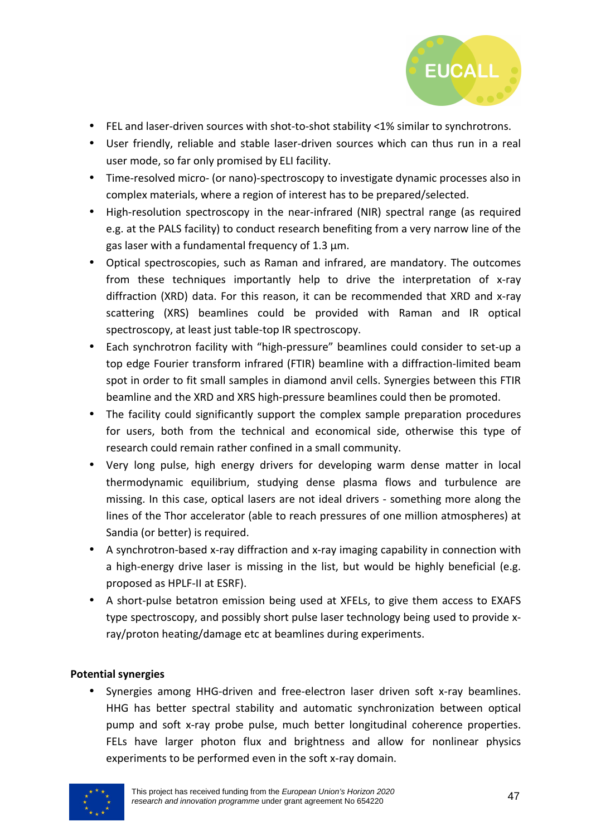

- FEL and laser-driven sources with shot-to-shot stability <1% similar to synchrotrons.
- User friendly, reliable and stable laser-driven sources which can thus run in a real user mode, so far only promised by ELI facility.
- Time-resolved micro- (or nano)-spectroscopy to investigate dynamic processes also in complex materials, where a region of interest has to be prepared/selected.
- High-resolution spectroscopy in the near-infrared (NIR) spectral range (as required e.g. at the PALS facility) to conduct research benefiting from a very narrow line of the gas laser with a fundamental frequency of 1.3 μm.
- Optical spectroscopies, such as Raman and infrared, are mandatory. The outcomes from these techniques importantly help to drive the interpretation of x-ray diffraction (XRD) data. For this reason, it can be recommended that XRD and x-ray scattering (XRS) beamlines could be provided with Raman and IR optical spectroscopy, at least just table-top IR spectroscopy.
- Each synchrotron facility with "high-pressure" beamlines could consider to set-up a top edge Fourier transform infrared (FTIR) beamline with a diffraction-limited beam spot in order to fit small samples in diamond anvil cells. Synergies between this FTIR beamline and the XRD and XRS high-pressure beamlines could then be promoted.
- The facility could significantly support the complex sample preparation procedures for users, both from the technical and economical side, otherwise this type of research could remain rather confined in a small community.
- Very long pulse, high energy drivers for developing warm dense matter in local thermodynamic equilibrium, studying dense plasma flows and turbulence are missing. In this case, optical lasers are not ideal drivers - something more along the lines of the Thor accelerator (able to reach pressures of one million atmospheres) at Sandia (or better) is required.
- A synchrotron-based x-ray diffraction and x-ray imaging capability in connection with a high-energy drive laser is missing in the list, but would be highly beneficial (e.g. proposed as HPLF-II at ESRF).
- A short-pulse betatron emission being used at XFELs, to give them access to EXAFS type spectroscopy, and possibly short pulse laser technology being used to provide xray/proton heating/damage etc at beamlines during experiments.

#### **Potential synergies**

• Synergies among HHG-driven and free-electron laser driven soft x-ray beamlines. HHG has better spectral stability and automatic synchronization between optical pump and soft x-ray probe pulse, much better longitudinal coherence properties. FELs have larger photon flux and brightness and allow for nonlinear physics experiments to be performed even in the soft x-ray domain.

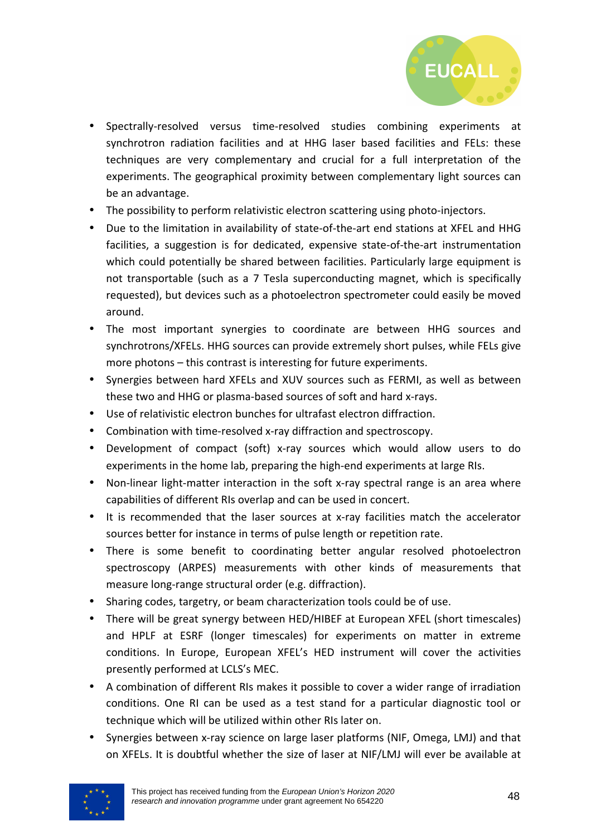

- Spectrally-resolved versus time-resolved studies combining experiments at synchrotron radiation facilities and at HHG laser based facilities and FELs: these techniques are very complementary and crucial for a full interpretation of the experiments. The geographical proximity between complementary light sources can be an advantage.
- The possibility to perform relativistic electron scattering using photo-injectors.
- Due to the limitation in availability of state-of-the-art end stations at XFEL and HHG facilities, a suggestion is for dedicated, expensive state-of-the-art instrumentation which could potentially be shared between facilities. Particularly large equipment is not transportable (such as a 7 Tesla superconducting magnet, which is specifically requested), but devices such as a photoelectron spectrometer could easily be moved around.
- The most important synergies to coordinate are between HHG sources and synchrotrons/XFELs. HHG sources can provide extremely short pulses, while FELs give more photons – this contrast is interesting for future experiments.
- Synergies between hard XFELs and XUV sources such as FERMI, as well as between these two and HHG or plasma-based sources of soft and hard x-rays.
- Use of relativistic electron bunches for ultrafast electron diffraction.
- Combination with time-resolved x-ray diffraction and spectroscopy.
- Development of compact (soft) x-ray sources which would allow users to do experiments in the home lab, preparing the high-end experiments at large RIs.
- Non-linear light-matter interaction in the soft x-ray spectral range is an area where capabilities of different RIs overlap and can be used in concert.
- It is recommended that the laser sources at x-ray facilities match the accelerator sources better for instance in terms of pulse length or repetition rate.
- There is some benefit to coordinating better angular resolved photoelectron spectroscopy (ARPES) measurements with other kinds of measurements that measure long-range structural order (e.g. diffraction).
- Sharing codes, targetry, or beam characterization tools could be of use.
- There will be great synergy between HED/HIBEF at European XFEL (short timescales) and HPLF at ESRF (longer timescales) for experiments on matter in extreme conditions. In Europe, European XFEL's HED instrument will cover the activities presently performed at LCLS's MEC.
- A combination of different RIs makes it possible to cover a wider range of irradiation conditions. One RI can be used as a test stand for a particular diagnostic tool or technique which will be utilized within other RIs later on.
- Synergies between x-ray science on large laser platforms (NIF, Omega, LMJ) and that on XFELs. It is doubtful whether the size of laser at NIF/LMJ will ever be available at

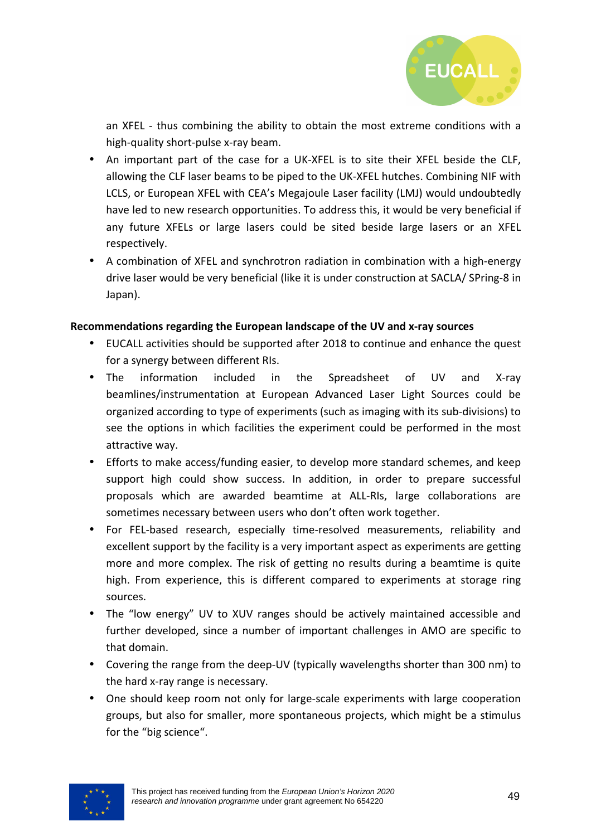

an XFEL - thus combining the ability to obtain the most extreme conditions with a high-quality short-pulse x-ray beam.

- An important part of the case for a UK-XFEL is to site their XFEL beside the CLF, allowing the CLF laser beams to be piped to the UK-XFEL hutches. Combining NIF with LCLS, or European XFEL with CEA's Megajoule Laser facility (LMJ) would undoubtedly have led to new research opportunities. To address this, it would be very beneficial if any future XFELs or large lasers could be sited beside large lasers or an XFEL respectively.
- A combination of XFEL and synchrotron radiation in combination with a high-energy drive laser would be very beneficial (like it is under construction at SACLA/ SPring-8 in Japan).

#### **Recommendations regarding the European landscape of the UV and x-ray sources**

- EUCALL activities should be supported after 2018 to continue and enhance the quest for a synergy between different RIs.
- The information included in the Spreadsheet of UV and X-ray beamlines/instrumentation at European Advanced Laser Light Sources could be organized according to type of experiments (such as imaging with its sub-divisions) to see the options in which facilities the experiment could be performed in the most attractive way.
- Efforts to make access/funding easier, to develop more standard schemes, and keep support high could show success. In addition, in order to prepare successful proposals which are awarded beamtime at ALL-RIs, large collaborations are sometimes necessary between users who don't often work together.
- For FEL-based research, especially time-resolved measurements, reliability and excellent support by the facility is a very important aspect as experiments are getting more and more complex. The risk of getting no results during a beamtime is quite high. From experience, this is different compared to experiments at storage ring sources.
- The "low energy" UV to XUV ranges should be actively maintained accessible and further developed, since a number of important challenges in AMO are specific to that domain.
- Covering the range from the deep-UV (typically wavelengths shorter than 300 nm) to the hard x-ray range is necessary.
- One should keep room not only for large-scale experiments with large cooperation groups, but also for smaller, more spontaneous projects, which might be a stimulus for the "big science".